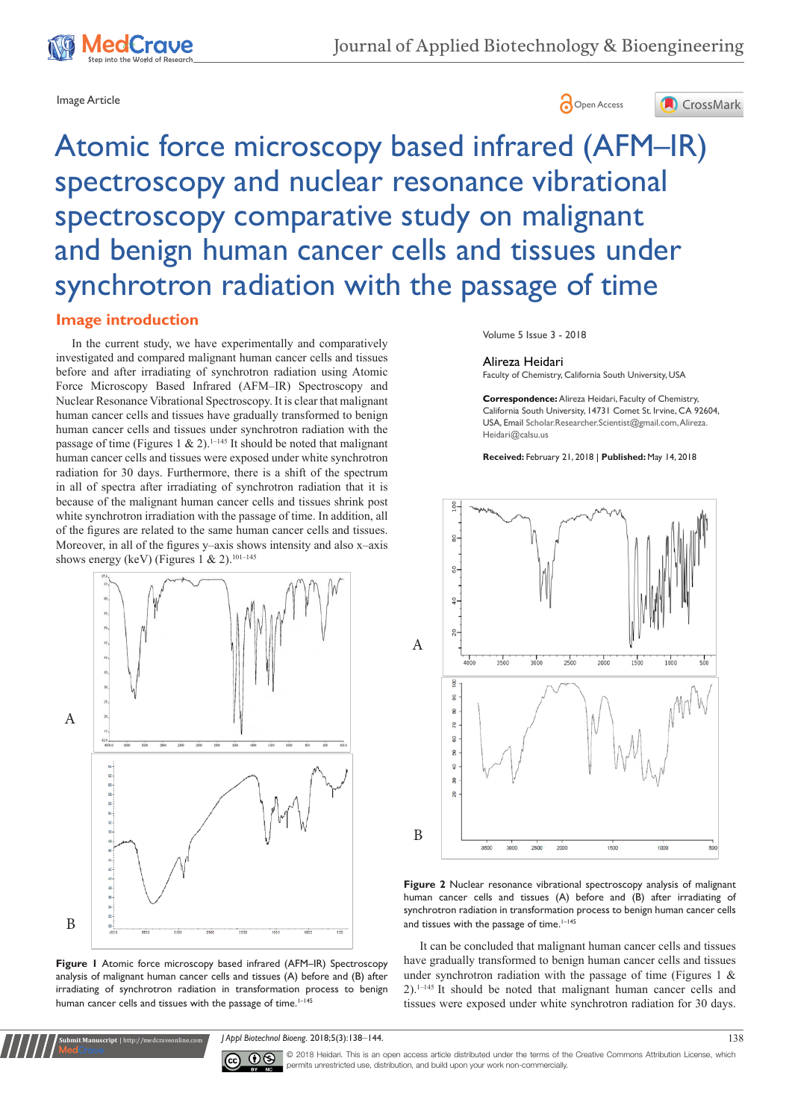





# Atomic force microscopy based infrared (AFM–IR) spectroscopy and nuclear resonance vibrational spectroscopy comparative study on malignant and benign human cancer cells and tissues under synchrotron radiation with the passage of time

## **Image introduction**

In the current study, we have experimentally and comparatively investigated and compared malignant human cancer cells and tissues before and after irradiating of synchrotron radiation using Atomic Force Microscopy Based Infrared (AFM–IR) Spectroscopy and Nuclear Resonance Vibrational Spectroscopy. It is clear that malignant human cancer cells and tissues have gradually transformed to benign human cancer cells and tissues under synchrotron radiation with the passage of time (Figures 1 & 2).<sup>1–145</sup> It should be noted that malignant human cancer cells and tissues were exposed under white synchrotron radiation for 30 days. Furthermore, there is a shift of the spectrum in all of spectra after irradiating of synchrotron radiation that it is because of the malignant human cancer cells and tissues shrink post white synchrotron irradiation with the passage of time. In addition, all of the figures are related to the same human cancer cells and tissues. Moreover, in all of the figures y–axis shows intensity and also x–axis shows energy (keV) (Figures 1 & 2).<sup>101-145</sup>





Volume 5 Issue 3 - 2018

#### Alireza Heidari

Faculty of Chemistry, California South University, USA

**Correspondence:** Alireza Heidari, Faculty of Chemistry, California South University, 14731 Comet St. Irvine, CA 92604, USA, Email Scholar.Researcher.Scientist@gmail.com, Alireza. Heidari@calsu.us

**Received:** February 21, 2018 | **Published:** May 14, 2018



**Figure 2** Nuclear resonance vibrational spectroscopy analysis of malignant human cancer cells and tissues (A) before and (B) after irradiating of synchrotron radiation in transformation process to benign human cancer cells and tissues with the passage of time. $1-145$ 

It can be concluded that malignant human cancer cells and tissues have gradually transformed to benign human cancer cells and tissues under synchrotron radiation with the passage of time (Figures 1  $\&$ 2).1–145 It should be noted that malignant human cancer cells and tissues were exposed under white synchrotron radiation for 30 days.

**Submit Manuscript** | http://medcraveonline.com *J Appl Biotechnol Bioeng.* 2018;5(3):138‒144. 138



© 2018 Heidari. This is an open access article distributed under the terms of the [Creative Commons Attribution License](https://creativecommons.org/licenses/by-nc/4.0/), which permits unrestricted use, distribution, and build upon your work non-commercially.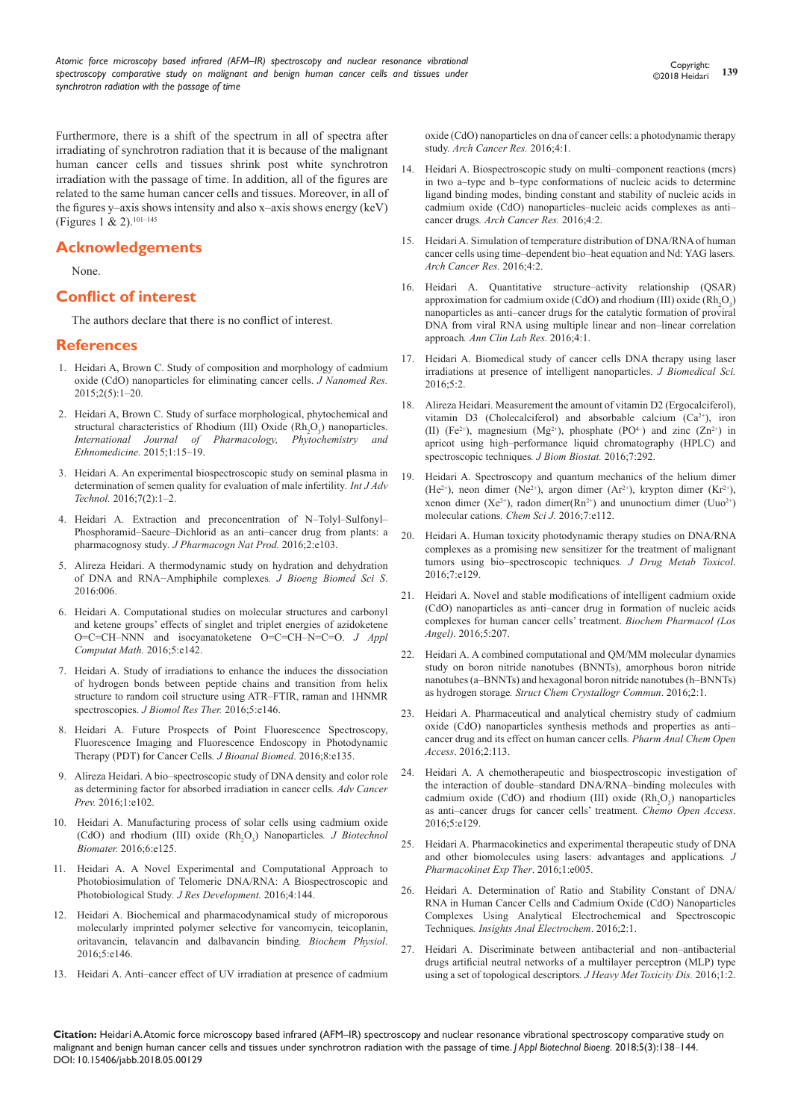Furthermore, there is a shift of the spectrum in all of spectra after irradiating of synchrotron radiation that it is because of the malignant human cancer cells and tissues shrink post white synchrotron irradiation with the passage of time. In addition, all of the figures are related to the same human cancer cells and tissues. Moreover, in all of the figures y–axis shows intensity and also x–axis shows energy (keV) (Figures 1 & 2).101–145

### **Acknowledgements**

None.

#### **Conflict of interest**

The authors declare that there is no conflict of interest.

#### **References**

- 1. [Heidari A, Brown C. Study of composition and morphology of cadmium](https://pdfs.semanticscholar.org/a567/abbdf0db03020084e32e93af2058879fb48e.pdf)  [oxide \(CdO\) nanoparticles for eliminating cancer cells.](https://pdfs.semanticscholar.org/a567/abbdf0db03020084e32e93af2058879fb48e.pdf) *J Nanomed Res.*  $2015:2(5):1-20.$
- 2. [Heidari A, Brown C. Study of surface morphological, phytochemical and](https://www.scipress.com/IJPPE.1.15)  structural characteristics of Rhodium (III) Oxide  $(Rh_2O_3)$  nanoparticles. *[International Journal of Pharmacology,](https://www.scipress.com/IJPPE.1.15) Phytochemistry and [Ethnomedicine.](https://www.scipress.com/IJPPE.1.15)* 2015;1:15–19.
- 3. [Heidari A. An experimental biospectroscopic study on seminal plasma in](https://pdfs.semanticscholar.org/8600/4955f62fa3b0f6756dfc2942ac269d9be7ed.pdf)  [determination of semen quality for evaluation of male infertility](https://pdfs.semanticscholar.org/8600/4955f62fa3b0f6756dfc2942ac269d9be7ed.pdf)*. Int J Adv Technol.* [2016;7\(2\):1‒2.](https://pdfs.semanticscholar.org/8600/4955f62fa3b0f6756dfc2942ac269d9be7ed.pdf)
- 4. Heidari A. Extraction and preconcentration of N–Tolyl–Sulfonyl– Phosphoramid–Saeure–Dichlorid as an anti–cancer drug from plants: a pharmacognosy study*. J Pharmacogn Nat Prod.* 2016;2:e103.
- 5. Alireza [Heidari. A thermodynamic study on hydration and dehydration](https://www.semanticscholar.org/paper/A-Thermodynamic-Study-on-Hydration-and-Dehydration-Heidari/ff367950fe9a7daf99b11c743a1cb14ca812d350)  [of DNA and RNA−Amphiphile complexes](https://www.semanticscholar.org/paper/A-Thermodynamic-Study-on-Hydration-and-Dehydration-Heidari/ff367950fe9a7daf99b11c743a1cb14ca812d350)*. J Bioeng Biomed Sci S*. [2016:006.](https://www.semanticscholar.org/paper/A-Thermodynamic-Study-on-Hydration-and-Dehydration-Heidari/ff367950fe9a7daf99b11c743a1cb14ca812d350)
- 6. Heidari A. Computational studies on molecular structures and carbonyl and ketene groups' effects of singlet and triplet energies of azidoketene O=C=CH–NNN and isocyanatoketene O=C=CH–N=C=O. *J Appl Computat Math.* 2016;5:e142.
- 7. Heidari A. Study of irradiations to enhance the induces the dissociation of hydrogen bonds between peptide chains and transition from helix structure to random coil structure using ATR–FTIR, raman and 1HNMR spectroscopies. *J Biomol Res Ther.* 2016;5:e146.
- 8. Heidari A. Future Prospects of Point Fluorescence Spectroscopy, Fluorescence Imaging and Fluorescence Endoscopy in Photodynamic Therapy (PDT) for Cancer Cells*. J Bioanal Biomed*. 2016;8:e135.
- 9. Alireza [Heidari. A bio–spectroscopic study of DNA density and color role](https://www.semanticscholar.org/paper/A-Bio-Spectroscopic-Study-of-DNA-Density-and-Color-Heidari/ae72b420b6618c72bf8f96bb7f1d748001c1c432)  [as determining factor for absorbed irradiation in cancer cells](https://www.semanticscholar.org/paper/A-Bio-Spectroscopic-Study-of-DNA-Density-and-Color-Heidari/ae72b420b6618c72bf8f96bb7f1d748001c1c432)*. Adv Cancer Prev.* [2016;1:e102.](https://www.semanticscholar.org/paper/A-Bio-Spectroscopic-Study-of-DNA-Density-and-Color-Heidari/ae72b420b6618c72bf8f96bb7f1d748001c1c432)
- 10. Heidari A. Manufacturing process of solar cells using cadmium oxide (CdO) and rhodium (III) oxide (Rh<sub>2</sub>O<sub>3</sub>) Nanoparticles. *J Biotechnol Biomater.* 2016;6:e125.
- 11. Heidari A. A Novel Experimental and Computational Approach to Photobiosimulation of Telomeric DNA/RNA: A Biospectroscopic and Photobiological Study*. J Res Development.* 2016;4:144.
- 12. Heidari A. Biochemical and pharmacodynamical study of microporous molecularly imprinted polymer selective for vancomycin, teicoplanin, oritavancin, telavancin and dalbavancin binding*. Biochem Physiol*. 2016;5:e146.
- 13. [Heidari A. Anti–cancer effect of UV irradiation at presence of cadmium](http://www.acanceresearch.com/cancer-research/anticancer-effect-of-uv-irradiation-at-presence-of-cadmium-oxide-cdo-nanoparticles-on-dna-of-cancer-cells-a-photodynamic-therapy-s.php?aid=8876)

[oxide \(CdO\) nanoparticles on dna of cancer cells: a photodynamic therapy](http://www.acanceresearch.com/cancer-research/anticancer-effect-of-uv-irradiation-at-presence-of-cadmium-oxide-cdo-nanoparticles-on-dna-of-cancer-cells-a-photodynamic-therapy-s.php?aid=8876)  study. *[Arch Cancer Res.](http://www.acanceresearch.com/cancer-research/anticancer-effect-of-uv-irradiation-at-presence-of-cadmium-oxide-cdo-nanoparticles-on-dna-of-cancer-cells-a-photodynamic-therapy-s.php?aid=8876)* 2016;4:1.

- 14. Heidari A. Biospectroscopic study on multi–component reactions (mcrs) in two a–type and b–type conformations of nucleic acids to determine ligand binding modes, binding constant and stability of nucleic acids in cadmium oxide (CdO) nanoparticles–nucleic acids complexes as anti– cancer drugs*. Arch Cancer Res.* 2016;4:2.
- 15. [Heidari A. Simulation of temperature distribution of DNA/RNA of human](http://www.acanceresearch.com/cancer-research/simulation-of-temperature-distribution-of-dnarna-of-human-cancer-cells-using-timedependent-bioheat-equation-andnd-yag-lasers.php?aid=9116)  [cancer cells using time–dependent bio–heat equation and Nd: YAG lasers](http://www.acanceresearch.com/cancer-research/simulation-of-temperature-distribution-of-dnarna-of-human-cancer-cells-using-timedependent-bioheat-equation-andnd-yag-lasers.php?aid=9116)*. [Arch Cancer Res.](http://www.acanceresearch.com/cancer-research/simulation-of-temperature-distribution-of-dnarna-of-human-cancer-cells-using-timedependent-bioheat-equation-andnd-yag-lasers.php?aid=9116)* 2016;4:2.
- 16. [Heidari A. Quantitative structure–activity relationship \(QSAR\)](http://www.aclr.com.es/clinical-research/quantitative-structureactivity-relationship-qsar-approximation-for-cadmium-oxide-cdo-and-rhodium-iii-oxide-rh2o3-nanoparticles-as.php?aid=8882)  approximation for cadmium oxide (CdO) and rhodium (III) oxide  $(Rh<sub>2</sub>O<sub>3</sub>)$ [nanoparticles as anti–cancer drugs for the catalytic formation of proviral](http://www.aclr.com.es/clinical-research/quantitative-structureactivity-relationship-qsar-approximation-for-cadmium-oxide-cdo-and-rhodium-iii-oxide-rh2o3-nanoparticles-as.php?aid=8882)  [DNA from viral RNA using multiple linear and non–linear correlation](http://www.aclr.com.es/clinical-research/quantitative-structureactivity-relationship-qsar-approximation-for-cadmium-oxide-cdo-and-rhodium-iii-oxide-rh2o3-nanoparticles-as.php?aid=8882)  approach*. [Ann Clin Lab Res.](http://www.aclr.com.es/clinical-research/quantitative-structureactivity-relationship-qsar-approximation-for-cadmium-oxide-cdo-and-rhodium-iii-oxide-rh2o3-nanoparticles-as.php?aid=8882)* 2016;4:1.
- 17. [Heidari A. Biomedical study of cancer cells DNA therapy using laser](http://www.jbiomeds.com/biomedical-sciences/biomedical-study-of-cancer-cells-dna-therapy-using-laser-irradiations-at-presence-of-intelligent-nanoparticles.php?aid=9049)  [irradiations at presence of intelligent nanoparticles.](http://www.jbiomeds.com/biomedical-sciences/biomedical-study-of-cancer-cells-dna-therapy-using-laser-irradiations-at-presence-of-intelligent-nanoparticles.php?aid=9049) *J Biomedical Sci.* [2016;5:2.](http://www.jbiomeds.com/biomedical-sciences/biomedical-study-of-cancer-cells-dna-therapy-using-laser-irradiations-at-presence-of-intelligent-nanoparticles.php?aid=9049)
- 18. Alirez[a Heidari. Measurement the amount of vitamin D2 \(Ergocalciferol\),](https://www.semanticscholar.org/paper/Measurement-the-Amount-of-Vitamin-D2-Vitamin-D3-and-Heidari/8bd5652c6fec1afcb49913ece286c136491d3fb7)  vitamin D3 (Cholecalciferol) and absorbable calcium  $(Ca^{2+})$ , iron (II) (Fe<sup>2+</sup>), magnesium (Mg<sup>2+</sup>), phosphate (PO<sup>4-</sup>) and zinc (Zn<sup>2+</sup>) in [apricot using high–performance liquid chromatography \(HPLC\) and](https://www.semanticscholar.org/paper/Measurement-the-Amount-of-Vitamin-D2-Vitamin-D3-and-Heidari/8bd5652c6fec1afcb49913ece286c136491d3fb7)  [spectroscopic techniques](https://www.semanticscholar.org/paper/Measurement-the-Amount-of-Vitamin-D2-Vitamin-D3-and-Heidari/8bd5652c6fec1afcb49913ece286c136491d3fb7)*. J Biom Biostat.* 2016;7:292.
- 19. Heidari A. Spectroscopy and quantum mechanics of the helium dimer (He<sup>2+</sup>), neon dimer (Ne<sup>2+</sup>), argon dimer (Ar<sup>2+</sup>), krypton dimer (Kr<sup>2+</sup>), xenon dimer (Xe<sup>2+</sup>), radon dimer(Rn<sup>2+</sup>) and ununoctium dimer (Uuo<sup>2+</sup>) molecular cations*. Chem Sci J.* 2016;7:e112.
- 20. Heidari A. Human toxicity photodynamic therapy studies on DNA/RNA complexes as a promising new sensitizer for the treatment of malignant tumors using bio–spectroscopic techniques*. J Drug Metab Toxicol*. 2016;7:e129.
- 21. Heidari A. Novel and stable modifications of intelligent cadmium oxide (CdO) nanoparticles as anti–cancer drug in formation of nucleic acids complexes for human cancer cells' treatment. *Biochem Pharmacol (Los Angel)*. 2016;5:207.
- 22. [Heidari A. A combined computational and QM/MM molecular dynamics](http://structural-crystallography.imedpub.com/a-combined-computational-and-qmmmmolecular-dynamics-study-on-boron-nitridenanotubes-bnnts-amorphous-boronnitride-nanotubes-abnnts.php?aid=9371)  [study on boron nitride nanotubes \(BNNTs\), amorphous boron nitride](http://structural-crystallography.imedpub.com/a-combined-computational-and-qmmmmolecular-dynamics-study-on-boron-nitridenanotubes-bnnts-amorphous-boronnitride-nanotubes-abnnts.php?aid=9371)  [nanotubes \(a–BNNTs\) and hexagonal boron nitride nanotubes \(h–BNNTs\)](http://structural-crystallography.imedpub.com/a-combined-computational-and-qmmmmolecular-dynamics-study-on-boron-nitridenanotubes-bnnts-amorphous-boronnitride-nanotubes-abnnts.php?aid=9371)  as hydrogen storage*[. Struct Chem Crystallogr Commun](http://structural-crystallography.imedpub.com/a-combined-computational-and-qmmmmolecular-dynamics-study-on-boron-nitridenanotubes-bnnts-amorphous-boronnitride-nanotubes-abnnts.php?aid=9371)*. 2016;2:1.
- 23. Heidari A. Pharmaceutical and analytical chemistry study of cadmium oxide (CdO) nanoparticles synthesis methods and properties as anti– cancer drug and its effect on human cancer cells*. Pharm Anal Chem Open Access*. 2016;2:113.
- 24. Heidari A. A chemotherapeutic and biospectroscopic investigation of the interaction of double–standard DNA/RNA–binding molecules with cadmium oxide (CdO) and rhodium (III) oxide  $(Rh<sub>2</sub>O<sub>3</sub>)$  nanoparticles as anti–cancer drugs for cancer cells' treatment*. Chemo Open Access*. 2016;5:e129.
- 25. Heidari A. Pharmacokinetics and experimental therapeutic study of DNA and other biomolecules using lasers: advantages and applications*. J Pharmacokinet Exp Ther*. 2016;1:e005.
- 26. [Heidari A. Determination of Ratio and Stability Constant of DNA/](http://electroanalytical.imedpub.com/determination-of-ratio-and-stability-constant-of-dnarna-in-human-cancer-cells-and-cadmium-oxide-cdo-nanoparticles-complexes-using.php?aid=9416) [RNA in Human Cancer Cells and Cadmium Oxide \(CdO\) Nanoparticles](http://electroanalytical.imedpub.com/determination-of-ratio-and-stability-constant-of-dnarna-in-human-cancer-cells-and-cadmium-oxide-cdo-nanoparticles-complexes-using.php?aid=9416)  [Complexes Using Analytical Electrochemical and Spectroscopic](http://electroanalytical.imedpub.com/determination-of-ratio-and-stability-constant-of-dnarna-in-human-cancer-cells-and-cadmium-oxide-cdo-nanoparticles-complexes-using.php?aid=9416)  Techniques*. [Insights Anal Electrochem](http://electroanalytical.imedpub.com/determination-of-ratio-and-stability-constant-of-dnarna-in-human-cancer-cells-and-cadmium-oxide-cdo-nanoparticles-complexes-using.php?aid=9416)*. 2016;2:1.
- 27. [Heidari A. Discriminate between antibacterial and non–antibacterial](http://heavy-metal-toxicity-diseases.imedpub.com/discriminate-between-antibacterial-andnonantibacterial-drugs-artificial-neutralnetworks-of-a-multilayer-perceptron-mlptype-using-a.php?aid=9563)  [drugs artificial neutral networks of a multilayer perceptron \(MLP\) type](http://heavy-metal-toxicity-diseases.imedpub.com/discriminate-between-antibacterial-andnonantibacterial-drugs-artificial-neutralnetworks-of-a-multilayer-perceptron-mlptype-using-a.php?aid=9563)  [using a set of topological descriptors](http://heavy-metal-toxicity-diseases.imedpub.com/discriminate-between-antibacterial-andnonantibacterial-drugs-artificial-neutralnetworks-of-a-multilayer-perceptron-mlptype-using-a.php?aid=9563)*. J Heavy Met Toxicity Dis.* 2016;1:2.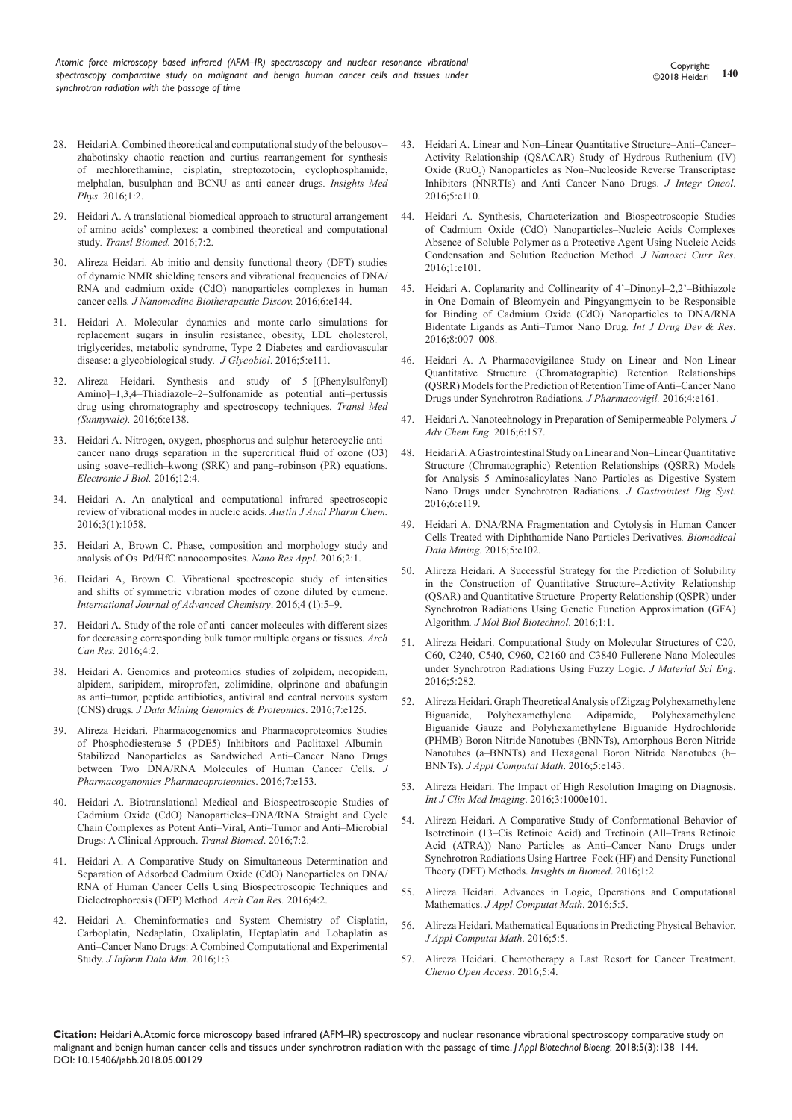- 28. [Heidari A. Combined theoretical and computational study of the belousov–](https://medicalphysics.imedpub.com/combined-theoretical-and-computationalstudy-of-the-belousovzhabotinsky-chaoticreaction-and-curtius-rearrangement-forsynthesis-of-m.pdf) [zhabotinsky chaotic reaction and curtius rearrangement for synthesis](https://medicalphysics.imedpub.com/combined-theoretical-and-computationalstudy-of-the-belousovzhabotinsky-chaoticreaction-and-curtius-rearrangement-forsynthesis-of-m.pdf)  [of mechlorethamine, cisplatin, streptozotocin, cyclophosphamide,](https://medicalphysics.imedpub.com/combined-theoretical-and-computationalstudy-of-the-belousovzhabotinsky-chaoticreaction-and-curtius-rearrangement-forsynthesis-of-m.pdf)  [melphalan, busulphan and BCNU as anti–cancer drugs](https://medicalphysics.imedpub.com/combined-theoretical-and-computationalstudy-of-the-belousovzhabotinsky-chaoticreaction-and-curtius-rearrangement-forsynthesis-of-m.pdf)*. Insights Med Phys.* [2016;1:2.](https://medicalphysics.imedpub.com/combined-theoretical-and-computationalstudy-of-the-belousovzhabotinsky-chaoticreaction-and-curtius-rearrangement-forsynthesis-of-m.pdf)
- 29. [Heidari A. A translational biomedical approach to structural arrangement](http://www.transbiomedicine.com/translational-biomedicine/a-translational-biomedical-approach-to-structural-arrangement-of-amino-acids-complexes-a-combined-theoretical-and-computational-st.php?aid=9653)  [of amino acids' complexes: a combined theoretical and computational](http://www.transbiomedicine.com/translational-biomedicine/a-translational-biomedical-approach-to-structural-arrangement-of-amino-acids-complexes-a-combined-theoretical-and-computational-st.php?aid=9653)  study*[. Transl Biomed.](http://www.transbiomedicine.com/translational-biomedicine/a-translational-biomedical-approach-to-structural-arrangement-of-amino-acids-complexes-a-combined-theoretical-and-computational-st.php?aid=9653)* 2016;7:2.
- 30. Alireza [Heidari. Ab initio and density functional theory \(DFT\) studies](https://www.semanticscholar.org/paper/Ab-Initio-and-Density-Functional-Theory-(DFT)-of-of-Heidari/a53991b9201384c10e1705b1e323a159d91e0329)  [of dynamic NMR shielding tensors and vibrational frequencies of DNA/](https://www.semanticscholar.org/paper/Ab-Initio-and-Density-Functional-Theory-(DFT)-of-of-Heidari/a53991b9201384c10e1705b1e323a159d91e0329) [RNA and cadmium oxide \(CdO\) nanoparticles complexes in human](https://www.semanticscholar.org/paper/Ab-Initio-and-Density-Functional-Theory-(DFT)-of-of-Heidari/a53991b9201384c10e1705b1e323a159d91e0329)  cancer cells*. [J Nanomedine Biotherapeutic Discov.](https://www.semanticscholar.org/paper/Ab-Initio-and-Density-Functional-Theory-(DFT)-of-of-Heidari/a53991b9201384c10e1705b1e323a159d91e0329)* 2016;6:e144.
- 31. Heidari A. Molecular dynamics and monte–carlo simulations for replacement sugars in insulin resistance, obesity, LDL cholesterol, triglycerides, metabolic syndrome, Type 2 Diabetes and cardiovascular disease: a glycobiological study*. J Glycobiol*. 2016;5:e111.
- 32. Alireza [Heidari. Synthesis and study of 5–\[\(Phenylsulfonyl\)](https://www.semanticscholar.org/paper/Synthesis-and-Study-of-Thiadiazole%E2%80%932%E2%80%93Sulfonamide-as-Heidari/adb2476d280e664dfedb4ae11ecc91d9fb77c658) [Amino\]–1,3,4–Thiadiazole–2–Sulfonamide as potential anti–pertussis](https://www.semanticscholar.org/paper/Synthesis-and-Study-of-Thiadiazole%E2%80%932%E2%80%93Sulfonamide-as-Heidari/adb2476d280e664dfedb4ae11ecc91d9fb77c658)  [drug using chromatography and spectroscopy techniques](https://www.semanticscholar.org/paper/Synthesis-and-Study-of-Thiadiazole%E2%80%932%E2%80%93Sulfonamide-as-Heidari/adb2476d280e664dfedb4ae11ecc91d9fb77c658)*. Transl Med (Sunnyvale).* [2016;6:e138.](https://www.semanticscholar.org/paper/Synthesis-and-Study-of-Thiadiazole%E2%80%932%E2%80%93Sulfonamide-as-Heidari/adb2476d280e664dfedb4ae11ecc91d9fb77c658)
- 33. [Heidari A. Nitrogen, oxygen, phosphorus and sulphur heterocyclic anti–](http://ejbio.imedpub.com/nitrogen-oxygen-phosphorus-and-sulphur-heterocyclicanti-cancer-nano-drugs-separation-in-the-supercritical-fluidof-ozone-o3-using-s.php?aid=9768) [cancer nano drugs separation in the supercritical fluid of ozone \(O3\)](http://ejbio.imedpub.com/nitrogen-oxygen-phosphorus-and-sulphur-heterocyclicanti-cancer-nano-drugs-separation-in-the-supercritical-fluidof-ozone-o3-using-s.php?aid=9768)  [using soave–redlich–kwong \(SRK\) and pang–robinson \(PR\) equations](http://ejbio.imedpub.com/nitrogen-oxygen-phosphorus-and-sulphur-heterocyclicanti-cancer-nano-drugs-separation-in-the-supercritical-fluidof-ozone-o3-using-s.php?aid=9768)*. [Electronic J Biol.](http://ejbio.imedpub.com/nitrogen-oxygen-phosphorus-and-sulphur-heterocyclicanti-cancer-nano-drugs-separation-in-the-supercritical-fluidof-ozone-o3-using-s.php?aid=9768)* 2016;12:4.
- 34. [Heidari A. An analytical and computational infrared spectroscopic](https://pdfs.semanticscholar.org/4569/5c51e37e3d6c2a46a9387ebd3b05d3038970.pdf)  [review of vibrational modes in nucleic acids](https://pdfs.semanticscholar.org/4569/5c51e37e3d6c2a46a9387ebd3b05d3038970.pdf)*. Austin J Anal Pharm Chem.* [2016;3\(1\):1058.](https://pdfs.semanticscholar.org/4569/5c51e37e3d6c2a46a9387ebd3b05d3038970.pdf)
- 35. [Heidari A, Brown C. Phase, composition and morphology study and](http://nanotechnology.imedpub.com/phase-composition-and-morphology-study-and-analysis-of-ospdhfc-nanocomposites.pdf)  [analysis of Os–Pd/HfC nanocomposites](http://nanotechnology.imedpub.com/phase-composition-and-morphology-study-and-analysis-of-ospdhfc-nanocomposites.pdf)*. Nano Res Appl.* 2016;2:1.
- 36. [Heidari A, Brown C. Vibrational spectroscopic study of intensities](https://www.sciencepubco.com/index.php/IJAC/article/view/6080)  [and shifts of symmetric vibration modes of ozone diluted by cumene.](https://www.sciencepubco.com/index.php/IJAC/article/view/6080)  *[International Journal of Advanced Chemistry](https://www.sciencepubco.com/index.php/IJAC/article/view/6080)*. 2016;4 (1):5–9.
- 37. [Heidari A. Study of the role of anti–cancer molecules with different sizes](http://www.acanceresearch.com/cancer-research/study-of-the-role-of-anticancer-molecules-with-different-sizes-for-decreasing-corresponding-bulk-tumor-multiple-organs-or-tissues.php?aid=9809)  [for decreasing corresponding bulk tumor multiple organs or tissues](http://www.acanceresearch.com/cancer-research/study-of-the-role-of-anticancer-molecules-with-different-sizes-for-decreasing-corresponding-bulk-tumor-multiple-organs-or-tissues.php?aid=9809)*. Arch Can Res.* [2016;4:2.](http://www.acanceresearch.com/cancer-research/study-of-the-role-of-anticancer-molecules-with-different-sizes-for-decreasing-corresponding-bulk-tumor-multiple-organs-or-tissues.php?aid=9809)
- 38. Heidari A. Genomics and proteomics studies of zolpidem, necopidem, alpidem, saripidem, miroprofen, zolimidine, olprinone and abafungin as anti–tumor, peptide antibiotics, antiviral and central nervous system (CNS) drugs*. J Data Mining Genomics & Proteomics*. 2016;7:e125.
- 39. Alireza [Heidari. Pharmacogenomics and Pharmacoproteomics Studies](https://www.semanticscholar.org/paper/Pharmacogenomics-and-Pharmacoproteomics-Studies-of-Heidari/30c0b0dbc699f1aaffc30685eba84698c21f5269)  [of Phosphodiesterase–5 \(PDE5\) Inhibitors and Paclitaxel Albumin–](https://www.semanticscholar.org/paper/Pharmacogenomics-and-Pharmacoproteomics-Studies-of-Heidari/30c0b0dbc699f1aaffc30685eba84698c21f5269) [Stabilized Nanoparticles as Sandwiched Anti–Cancer Nano Drugs](https://www.semanticscholar.org/paper/Pharmacogenomics-and-Pharmacoproteomics-Studies-of-Heidari/30c0b0dbc699f1aaffc30685eba84698c21f5269)  [between Two DNA/RNA Molecules of Human Cancer Cells.](https://www.semanticscholar.org/paper/Pharmacogenomics-and-Pharmacoproteomics-Studies-of-Heidari/30c0b0dbc699f1aaffc30685eba84698c21f5269) *J [Pharmacogenomics Pharmacoproteomics](https://www.semanticscholar.org/paper/Pharmacogenomics-and-Pharmacoproteomics-Studies-of-Heidari/30c0b0dbc699f1aaffc30685eba84698c21f5269)*. 2016;7:e153.
- 40. [Heidari A. Biotranslational Medical and Biospectroscopic Studies of](http://www.transbiomedicine.com/translational-biomedicine/biotranslational-medical-and-biospectroscopic-studies-of-cadmium-oxidecdo-nanoparticlesdnarna-straight-and-cycle-chain-complexes-a.php?aid=9835)  [Cadmium Oxide \(CdO\) Nanoparticles–DNA/RNA Straight and Cycle](http://www.transbiomedicine.com/translational-biomedicine/biotranslational-medical-and-biospectroscopic-studies-of-cadmium-oxidecdo-nanoparticlesdnarna-straight-and-cycle-chain-complexes-a.php?aid=9835)  [Chain Complexes as Potent Anti–Viral, Anti–Tumor and Anti–Microbial](http://www.transbiomedicine.com/translational-biomedicine/biotranslational-medical-and-biospectroscopic-studies-of-cadmium-oxidecdo-nanoparticlesdnarna-straight-and-cycle-chain-complexes-a.php?aid=9835)  [Drugs: A Clinical Approach.](http://www.transbiomedicine.com/translational-biomedicine/biotranslational-medical-and-biospectroscopic-studies-of-cadmium-oxidecdo-nanoparticlesdnarna-straight-and-cycle-chain-complexes-a.php?aid=9835) *Transl Biomed*. 2016;7:2.
- 41. [Heidari A. A Comparative Study on Simultaneous Determination and](http://www.acanceresearch.com/cancer-research/a-comparative-study-on-simultaneous-determination-and-separation-of-adsorbed-cadmium-oxide-cdo-nanoparticles-on-dnarna-of-human-ca.php?aid=9862)  [Separation of Adsorbed Cadmium Oxide \(CdO\) Nanoparticles on DNA/](http://www.acanceresearch.com/cancer-research/a-comparative-study-on-simultaneous-determination-and-separation-of-adsorbed-cadmium-oxide-cdo-nanoparticles-on-dnarna-of-human-ca.php?aid=9862) [RNA of Human Cancer Cells Using Biospectroscopic Techniques and](http://www.acanceresearch.com/cancer-research/a-comparative-study-on-simultaneous-determination-and-separation-of-adsorbed-cadmium-oxide-cdo-nanoparticles-on-dnarna-of-human-ca.php?aid=9862)  [Dielectrophoresis \(DEP\) Method.](http://www.acanceresearch.com/cancer-research/a-comparative-study-on-simultaneous-determination-and-separation-of-adsorbed-cadmium-oxide-cdo-nanoparticles-on-dnarna-of-human-ca.php?aid=9862) *Arch Can Res.* 2016;4:2.
- 42. [Heidari A. Cheminformatics and System Chemistry of Cisplatin,](http://datamining.imedpub.com/cheminformatics-and-system-chemistry-of-cisplatin-carboplatin-nedaplatinoxaliplatin-heptaplatin-and-lobaplatin-as-anticancer-nano.php?aid=9880)  [Carboplatin, Nedaplatin, Oxaliplatin, Heptaplatin and Lobaplatin as](http://datamining.imedpub.com/cheminformatics-and-system-chemistry-of-cisplatin-carboplatin-nedaplatinoxaliplatin-heptaplatin-and-lobaplatin-as-anticancer-nano.php?aid=9880)  [Anti–Cancer Nano Drugs: A Combined Computational and Experimental](http://datamining.imedpub.com/cheminformatics-and-system-chemistry-of-cisplatin-carboplatin-nedaplatinoxaliplatin-heptaplatin-and-lobaplatin-as-anticancer-nano.php?aid=9880)  Study. *[J Inform Data Min.](http://datamining.imedpub.com/cheminformatics-and-system-chemistry-of-cisplatin-carboplatin-nedaplatinoxaliplatin-heptaplatin-and-lobaplatin-as-anticancer-nano.php?aid=9880)* 2016;1:3.
- 43. Heidari A. Linear and Non–Linear Quantitative Structure–Anti–Cancer– Activity Relationship (QSACAR) Study of Hydrous Ruthenium (IV) Oxide (RuO<sub>2</sub>) Nanoparticles as Non-Nucleoside Reverse Transcriptase Inhibitors (NNRTIs) and Anti–Cancer Nano Drugs. *J Integr Oncol*. 2016;5:e110.
- 44. [Heidari A. Synthesis, Characterization and Biospectroscopic Studies](https://www.altmetric.com/details/15327984)  [of Cadmium Oxide \(CdO\) Nanoparticles–Nucleic Acids Complexes](https://www.altmetric.com/details/15327984)  [Absence of Soluble Polymer as a Protective Agent Using Nucleic Acids](https://www.altmetric.com/details/15327984)  [Condensation and Solution Reduction Method](https://www.altmetric.com/details/15327984)*. J Nanosci Curr Res*. [2016;1:e101.](https://www.altmetric.com/details/15327984)
- 45. [Heidari A. Coplanarity and Collinearity of 4'–Dinonyl–2,2'–Bithiazole](http://www.ijddr.in/drug-development/coplanarity-and-collinearity-of-4dinonyl22bithiazole-in-one-domain-of-bleomycin-and-pingyangmycin-to-be-responsible-for-bindingof.php?aid=9938)  [in One Domain of Bleomycin and Pingyangmycin to be Responsible](http://www.ijddr.in/drug-development/coplanarity-and-collinearity-of-4dinonyl22bithiazole-in-one-domain-of-bleomycin-and-pingyangmycin-to-be-responsible-for-bindingof.php?aid=9938)  for Binding of Cadmium Oxide (CdO) Nanoparticles to DNA/RNA [Bidentate Ligands as Anti–Tumor Nano Drug](http://www.ijddr.in/drug-development/coplanarity-and-collinearity-of-4dinonyl22bithiazole-in-one-domain-of-bleomycin-and-pingyangmycin-to-be-responsible-for-bindingof.php?aid=9938)*. Int J Drug Dev & Res*. [2016;8:007–008.](http://www.ijddr.in/drug-development/coplanarity-and-collinearity-of-4dinonyl22bithiazole-in-one-domain-of-bleomycin-and-pingyangmycin-to-be-responsible-for-bindingof.php?aid=9938)
- 46. Heidari A. A Pharmacovigilance Study on Linear and Non–Linear Quantitative Structure (Chromatographic) Retention Relationships (QSRR) Models for the Prediction of Retention Time of Anti–Cancer Nano Drugs under Synchrotron Radiations*. J Pharmacovigil.* 2016;4:e161.
- 47. Heidari A. Nanotechnology in Preparation of Semipermeable Polymers*. J Adv Chem Eng.* 2016;6:157.
- 48. Heidari A. A Gastrointestinal Study on Linear and Non–Linear Quantitative Structure (Chromatographic) Retention Relationships (QSRR) Models for Analysis 5–Aminosalicylates Nano Particles as Digestive System Nano Drugs under Synchrotron Radiations*. J Gastrointest Dig Syst.*  2016;6:e119.
- 49. [Heidari A. DNA/RNA Fragmentation and Cytolysis in Human Cancer](http://biomedicalj.blogspot.in/2017/07/dnarna-fragmentation-and-cytolysis-in.html)  [Cells Treated with Diphthamide Nano Particles Derivatives](http://biomedicalj.blogspot.in/2017/07/dnarna-fragmentation-and-cytolysis-in.html)*. Biomedical [Data Mining.](http://biomedicalj.blogspot.in/2017/07/dnarna-fragmentation-and-cytolysis-in.html)* 2016;5:e102.
- 50. [Alireza Heidari. A Successful Strategy for the Prediction of Solubility](http://www.imedpub.com/articles/a-successful-strategy-for-the-prediction-of-solubility-in-the-construction-of-quantitative-structureactivity-relationship-qsar-and.php?aid=17247)  [in the Construction of Quantitative Structure–Activity Relationship](http://www.imedpub.com/articles/a-successful-strategy-for-the-prediction-of-solubility-in-the-construction-of-quantitative-structureactivity-relationship-qsar-and.php?aid=17247)  [\(QSAR\) and Quantitative Structure–Property Relationship \(QSPR\) under](http://www.imedpub.com/articles/a-successful-strategy-for-the-prediction-of-solubility-in-the-construction-of-quantitative-structureactivity-relationship-qsar-and.php?aid=17247)  [Synchrotron Radiations Using Genetic Function Approximation \(GFA\)](http://www.imedpub.com/articles/a-successful-strategy-for-the-prediction-of-solubility-in-the-construction-of-quantitative-structureactivity-relationship-qsar-and.php?aid=17247)  Algorithm*[. J Mol Biol Biotechnol](http://www.imedpub.com/articles/a-successful-strategy-for-the-prediction-of-solubility-in-the-construction-of-quantitative-structureactivity-relationship-qsar-and.php?aid=17247)*. 2016;1:1.
- 51. Alireza Heidari. Computational Study on Molecular Structures of C20, C60, C240, C540, C960, C2160 and C3840 Fullerene Nano Molecules under Synchrotron Radiations Using Fuzzy Logic. *J Material Sci Eng*. 2016;5:282.
- 52. Alireza Heidari. Graph Theoretical Analysis of Zigzag Polyhexamethylene Biguanide, Polyhexamethylene Adipamide, Polyhexamethylene Biguanide Gauze and Polyhexamethylene Biguanide Hydrochloride (PHMB) Boron Nitride Nanotubes (BNNTs), Amorphous Boron Nitride Nanotubes (a–BNNTs) and Hexagonal Boron Nitride Nanotubes (h– BNNTs). *J Appl Computat Math*. 2016;5:e143.
- 53. [Alireza Heidari. The Impact of High Resolution Imaging on Diagnosis.](http://imagejournals.org/the-impact-of-high-resolution-imaging-on-diagnosis.php?image_id=413)  *[Int J Clin Med Imaging](http://imagejournals.org/the-impact-of-high-resolution-imaging-on-diagnosis.php?image_id=413)*. 2016;3:1000e101.
- 54. [Alireza Heidari. A Comparative Study of Conformational Behavior of](http://biomedicine.imedpub.com/a-comparative-study-of-conformational-behavior-of-isotretinoin-13cis-retinoic-acid-and-tretinoin-alltrans-retinoic-acid-atra-nano.php?aid=17333)  [Isotretinoin \(13–Cis Retinoic Acid\) and Tretinoin \(All–Trans Retinoic](http://biomedicine.imedpub.com/a-comparative-study-of-conformational-behavior-of-isotretinoin-13cis-retinoic-acid-and-tretinoin-alltrans-retinoic-acid-atra-nano.php?aid=17333)  [Acid \(ATRA\)\) Nano Particles as Anti–Cancer Nano Drugs under](http://biomedicine.imedpub.com/a-comparative-study-of-conformational-behavior-of-isotretinoin-13cis-retinoic-acid-and-tretinoin-alltrans-retinoic-acid-atra-nano.php?aid=17333)  [Synchrotron Radiations Using Hartree–Fock \(HF\) and Density Functional](http://biomedicine.imedpub.com/a-comparative-study-of-conformational-behavior-of-isotretinoin-13cis-retinoic-acid-and-tretinoin-alltrans-retinoic-acid-atra-nano.php?aid=17333)  [Theory \(DFT\) Methods.](http://biomedicine.imedpub.com/a-comparative-study-of-conformational-behavior-of-isotretinoin-13cis-retinoic-acid-and-tretinoin-alltrans-retinoic-acid-atra-nano.php?aid=17333) *Insights in Biomed*. 2016;1:2.
- 55. Alireza Heidari. Advances in Logic, Operations and Computational Mathematics. *J Appl Computat Math*. 2016;5:5.
- 56. Alireza Heidari. Mathematical Equations in Predicting Physical Behavior. *J Appl Computat Math*. 2016;5:5.
- 57. Alireza Heidari. Chemotherapy a Last Resort for Cancer Treatment. *Chemo Open Access*. 2016;5:4.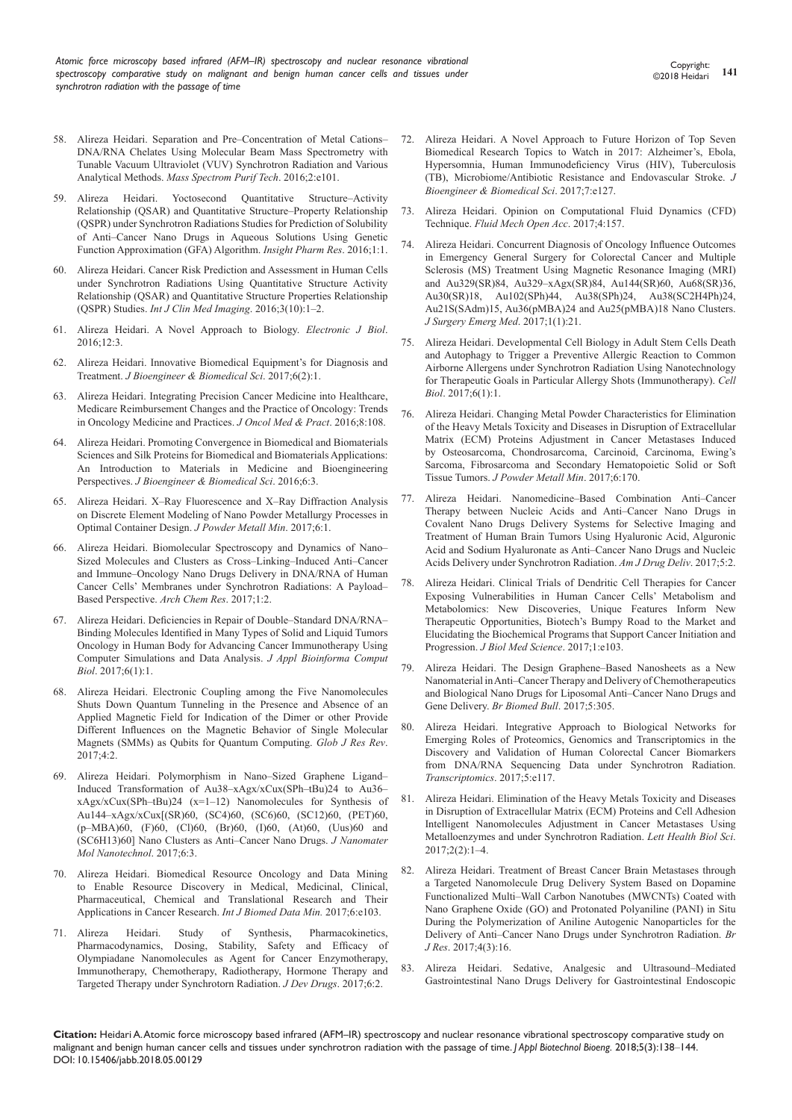- 58. Alireza Heidari. Separation and Pre–Concentration of Metal Cations– DNA/RNA Chelates Using Molecular Beam Mass Spectrometry with Tunable Vacuum Ultraviolet (VUV) Synchrotron Radiation and Various Analytical Methods. *Mass Spectrom Purif Tech*. 2016;2:e101.
- 59. [Alireza Heidari. Yoctosecond Quantitative Structure–Activity](https://www.imedpub.com/articles/yoctosecond-quantitative-structure-activity-relationship-qsar-and-quantitative-structure-property-relationship-qspr-under-synchrot.pdf)  [Relationship \(QSAR\) and Quantitative Structure–Property Relationship](https://www.imedpub.com/articles/yoctosecond-quantitative-structure-activity-relationship-qsar-and-quantitative-structure-property-relationship-qspr-under-synchrot.pdf)  [\(QSPR\) under Synchrotron Radiations Studies for Prediction of Solubility](https://www.imedpub.com/articles/yoctosecond-quantitative-structure-activity-relationship-qsar-and-quantitative-structure-property-relationship-qspr-under-synchrot.pdf)  [of Anti–Cancer Nano Drugs in Aqueous Solutions Using Genetic](https://www.imedpub.com/articles/yoctosecond-quantitative-structure-activity-relationship-qsar-and-quantitative-structure-property-relationship-qspr-under-synchrot.pdf)  [Function Approximation \(GFA\) Algorithm.](https://www.imedpub.com/articles/yoctosecond-quantitative-structure-activity-relationship-qsar-and-quantitative-structure-property-relationship-qspr-under-synchrot.pdf) *Insight Pharm Res*. 2016;1:1.
- 60. [Alireza Heidari. Cancer Risk Prediction and Assessment in Human Cells](http://imagejournals.org/cancer-risk-prediction-and-assessment-in-human-cells-under-synchrotron-radiations-using-quantitative-structure-activity-relationship.pdf)  [under Synchrotron Radiations Using Quantitative Structure Activity](http://imagejournals.org/cancer-risk-prediction-and-assessment-in-human-cells-under-synchrotron-radiations-using-quantitative-structure-activity-relationship.pdf)  [Relationship \(QSAR\) and Quantitative Structure Properties Relationship](http://imagejournals.org/cancer-risk-prediction-and-assessment-in-human-cells-under-synchrotron-radiations-using-quantitative-structure-activity-relationship.pdf)  (QSPR) Studies. *[Int J Clin Med Imaging](http://imagejournals.org/cancer-risk-prediction-and-assessment-in-human-cells-under-synchrotron-radiations-using-quantitative-structure-activity-relationship.pdf)*. 2016;3(10):1‒2.
- 61. [Alireza Heidari. A Novel Approach to Biology.](http://ejbio.imedpub.com/a-novel-approach-to-biology.php?aid=17535) *Electronic J Biol*. [2016;12:3.](http://ejbio.imedpub.com/a-novel-approach-to-biology.php?aid=17535)
- 62. [Alireza Heidari. Innovative Biomedical Equipment's for Diagnosis and](https://www.semanticscholar.org/paper/Innovative-Biomedical-Equipment%E2%80%99s-for-Diagnosis-and-Heidari/50397fbe675a08b312b87c6a0b90b5f89c345f60)  Treatment. *[J Bioengineer & Biomedical Sci](https://www.semanticscholar.org/paper/Innovative-Biomedical-Equipment%E2%80%99s-for-Diagnosis-and-Heidari/50397fbe675a08b312b87c6a0b90b5f89c345f60)*. 2017;6(2):1.
- 63. [Alireza Heidari. Integrating Precision Cancer Medicine into Healthcare,](https://genomemedicine.biomedcentral.com/articles/10.1186/s13073-016-0362-4)  [Medicare Reimbursement Changes and the Practice of Oncology: Trends](https://genomemedicine.biomedcentral.com/articles/10.1186/s13073-016-0362-4)  [in Oncology Medicine and Practices.](https://genomemedicine.biomedcentral.com/articles/10.1186/s13073-016-0362-4) *J Oncol Med & Pract*. 2016;8:108.
- 64. Alireza Heidari. Promoting Convergence in Biomedical and Biomaterials Sciences and Silk Proteins for Biomedical and Biomaterials Applications: An Introduction to Materials in Medicine and Bioengineering Perspectives. *J Bioengineer & Biomedical Sci*. 2016;6:3.
- 65. Alireza Heidari. X–Ray Fluorescence and X–Ray Diffraction Analysis on Discrete Element Modeling of Nano Powder Metallurgy Processes in Optimal Container Design. *J Powder Metall Min*. 2017;6:1.
- 66. [Alireza Heidari. Biomolecular Spectroscopy and Dynamics of Nano–](http://www.imedpub.com/articles/biomolecular-spectroscopy-and-dynamics-of-nanosized-molecules-and-clustersas-crosslinkinginduced-anticancer-and-immuneoncology-nan.php?aid=19262) [Sized Molecules and Clusters as Cross–Linking–Induced Anti–Cancer](http://www.imedpub.com/articles/biomolecular-spectroscopy-and-dynamics-of-nanosized-molecules-and-clustersas-crosslinkinginduced-anticancer-and-immuneoncology-nan.php?aid=19262)  [and Immune–Oncology Nano Drugs Delivery in DNA/RNA of Human](http://www.imedpub.com/articles/biomolecular-spectroscopy-and-dynamics-of-nanosized-molecules-and-clustersas-crosslinkinginduced-anticancer-and-immuneoncology-nan.php?aid=19262)  [Cancer Cells' Membranes under Synchrotron Radiations: A Payload–](http://www.imedpub.com/articles/biomolecular-spectroscopy-and-dynamics-of-nanosized-molecules-and-clustersas-crosslinkinginduced-anticancer-and-immuneoncology-nan.php?aid=19262) [Based Perspective.](http://www.imedpub.com/articles/biomolecular-spectroscopy-and-dynamics-of-nanosized-molecules-and-clustersas-crosslinkinginduced-anticancer-and-immuneoncology-nan.php?aid=19262) *Arch Chem Res*. 2017;1:2.
- 67. [Alireza Heidari. Deficiencies in Repair of Double–Standard DNA/RNA–](https://www.scitechnol.com/peer-review/deficiencies-in-repair-of-doublestandard-dnarnabinding-molecules-identified-in-many-types-of-solid-and-liquid-tumors-oncology-in-h-QL3Y.php?article_id=6103) [Binding Molecules Identified in Many Types of Solid and Liquid Tumors](https://www.scitechnol.com/peer-review/deficiencies-in-repair-of-doublestandard-dnarnabinding-molecules-identified-in-many-types-of-solid-and-liquid-tumors-oncology-in-h-QL3Y.php?article_id=6103)  [Oncology in Human Body for Advancing Cancer Immunotherapy Using](https://www.scitechnol.com/peer-review/deficiencies-in-repair-of-doublestandard-dnarnabinding-molecules-identified-in-many-types-of-solid-and-liquid-tumors-oncology-in-h-QL3Y.php?article_id=6103)  [Computer Simulations and Data Analysis.](https://www.scitechnol.com/peer-review/deficiencies-in-repair-of-doublestandard-dnarnabinding-molecules-identified-in-many-types-of-solid-and-liquid-tumors-oncology-in-h-QL3Y.php?article_id=6103) *J Appl Bioinforma Comput Biol*[. 2017;6\(1\):1.](https://www.scitechnol.com/peer-review/deficiencies-in-repair-of-doublestandard-dnarnabinding-molecules-identified-in-many-types-of-solid-and-liquid-tumors-oncology-in-h-QL3Y.php?article_id=6103)
- 68. [Alireza Heidari. Electronic Coupling among the Five Nanomolecules](http://www.imedpub.com/articles/electronic-coupling-among-the-five-nanomolecules-shuts-down-quantum-tunneling-in-the-presence-and-absence-of-an-applied-magnetic-f.php?aid=19461)  [Shuts Down Quantum Tunneling in the Presence and Absence of an](http://www.imedpub.com/articles/electronic-coupling-among-the-five-nanomolecules-shuts-down-quantum-tunneling-in-the-presence-and-absence-of-an-applied-magnetic-f.php?aid=19461)  [Applied Magnetic Field for Indication of the Dimer or other Provide](http://www.imedpub.com/articles/electronic-coupling-among-the-five-nanomolecules-shuts-down-quantum-tunneling-in-the-presence-and-absence-of-an-applied-magnetic-f.php?aid=19461)  [Different Influences on the Magnetic Behavior of Single Molecular](http://www.imedpub.com/articles/electronic-coupling-among-the-five-nanomolecules-shuts-down-quantum-tunneling-in-the-presence-and-absence-of-an-applied-magnetic-f.php?aid=19461)  [Magnets \(SMMs\) as Qubits for Quantum Computing.](http://www.imedpub.com/articles/electronic-coupling-among-the-five-nanomolecules-shuts-down-quantum-tunneling-in-the-presence-and-absence-of-an-applied-magnetic-f.php?aid=19461) *Glob J Res Rev*. [2017;4:2.](http://www.imedpub.com/articles/electronic-coupling-among-the-five-nanomolecules-shuts-down-quantum-tunneling-in-the-presence-and-absence-of-an-applied-magnetic-f.php?aid=19461)
- 69. [Alireza Heidari. Polymorphism in Nano–Sized Graphene Ligand–](https://www.scitechnol.com/peer-review/polymorphism-in-nanosized-graphene-ligandinduced-transformation-of-au38xagxxcuxsphtbu24-to-au36xagxxcuxsphtbu24-x112-nanomolecules-v9Rx.php?article_id=6140) [Induced Transformation of Au38–xAgx/xCux\(SPh–tBu\)24 to Au36–](https://www.scitechnol.com/peer-review/polymorphism-in-nanosized-graphene-ligandinduced-transformation-of-au38xagxxcuxsphtbu24-to-au36xagxxcuxsphtbu24-x112-nanomolecules-v9Rx.php?article_id=6140) [xAgx/xCux\(SPh–tBu\)24 \(x=1–12\) Nanomolecules for Synthesis of](https://www.scitechnol.com/peer-review/polymorphism-in-nanosized-graphene-ligandinduced-transformation-of-au38xagxxcuxsphtbu24-to-au36xagxxcuxsphtbu24-x112-nanomolecules-v9Rx.php?article_id=6140)  [Au144–xAgx/xCux\[\(SR\)60, \(SC4\)60, \(SC6\)60, \(SC12\)60, \(PET\)60,](https://www.scitechnol.com/peer-review/polymorphism-in-nanosized-graphene-ligandinduced-transformation-of-au38xagxxcuxsphtbu24-to-au36xagxxcuxsphtbu24-x112-nanomolecules-v9Rx.php?article_id=6140)  [\(p–MBA\)60, \(F\)60, \(Cl\)60, \(Br\)60, \(I\)60, \(At\)60, \(Uus\)60 and](https://www.scitechnol.com/peer-review/polymorphism-in-nanosized-graphene-ligandinduced-transformation-of-au38xagxxcuxsphtbu24-to-au36xagxxcuxsphtbu24-x112-nanomolecules-v9Rx.php?article_id=6140)  [\(SC6H13\)60\] Nano Clusters as Anti–Cancer Nano Drugs.](https://www.scitechnol.com/peer-review/polymorphism-in-nanosized-graphene-ligandinduced-transformation-of-au38xagxxcuxsphtbu24-to-au36xagxxcuxsphtbu24-x112-nanomolecules-v9Rx.php?article_id=6140) *J Nanomater [Mol Nanotechnol](https://www.scitechnol.com/peer-review/polymorphism-in-nanosized-graphene-ligandinduced-transformation-of-au38xagxxcuxsphtbu24-to-au36xagxxcuxsphtbu24-x112-nanomolecules-v9Rx.php?article_id=6140)*. 2017;6:3.
- 70. Alireza Heidari. Biomedical Resource Oncology and Data Mining to Enable Resource Discovery in Medical, Medicinal, Clinical, Pharmaceutical, Chemical and Translational Research and Their Applications in Cancer Research. *Int J Biomed Data Min.* 2017:6:e103.
- 71. [Alireza Heidari. Study of Synthesis, Pharmacokinetics,](https://pdfs.semanticscholar.org/2c02/d706e0d43a98b7aa89a1783feabce2d5f4c7.pdf)  [Pharmacodynamics, Dosing, Stability, Safety and Efficacy of](https://pdfs.semanticscholar.org/2c02/d706e0d43a98b7aa89a1783feabce2d5f4c7.pdf)  [Olympiadane Nanomolecules as Agent for Cancer Enzymotherapy,](https://pdfs.semanticscholar.org/2c02/d706e0d43a98b7aa89a1783feabce2d5f4c7.pdf)  [Immunotherapy, Chemotherapy, Radiotherapy, Hormone Therapy and](https://pdfs.semanticscholar.org/2c02/d706e0d43a98b7aa89a1783feabce2d5f4c7.pdf)  [Targeted Therapy under Synchrotorn Radiation.](https://pdfs.semanticscholar.org/2c02/d706e0d43a98b7aa89a1783feabce2d5f4c7.pdf) *J Dev Drugs*. 2017;6:2.
- 72. Alireza Heidari. A Novel Approach to Future Horizon of Top Seven Biomedical Research Topics to Watch in 2017: Alzheimer's, Ebola, Hypersomnia, Human Immunodeficiency Virus (HIV), Tuberculosis (TB), Microbiome/Antibiotic Resistance and Endovascular Stroke. *J Bioengineer & Biomedical Sci*. 2017;7:e127.
- 73. Alireza Heidari. Opinion on Computational Fluid Dynamics (CFD) Technique. *Fluid Mech Open Acc*. 2017;4:157.
- 74. [Alireza Heidari. Concurrent Diagnosis of Oncology Influence Outcomes](https://www.imedpub.com/articles/concurrent-diagnosis-of-oncology-influence-outcomes-in-emergency-general-surgery-for-colorectal-cancer-and-multiple-sclerosis-ms-t.pdf)  [in Emergency General Surgery for Colorectal Cancer and Multiple](https://www.imedpub.com/articles/concurrent-diagnosis-of-oncology-influence-outcomes-in-emergency-general-surgery-for-colorectal-cancer-and-multiple-sclerosis-ms-t.pdf)  [Sclerosis \(MS\) Treatment Using Magnetic Resonance Imaging \(MRI\)](https://www.imedpub.com/articles/concurrent-diagnosis-of-oncology-influence-outcomes-in-emergency-general-surgery-for-colorectal-cancer-and-multiple-sclerosis-ms-t.pdf)  [and Au329\(SR\)84, Au329–xAgx\(SR\)84, Au144\(SR\)60, Au68\(SR\)36,](https://www.imedpub.com/articles/concurrent-diagnosis-of-oncology-influence-outcomes-in-emergency-general-surgery-for-colorectal-cancer-and-multiple-sclerosis-ms-t.pdf)  [Au30\(SR\)18, Au102\(SPh\)44, Au38\(SPh\)24, Au38\(SC2H4Ph\)24,](https://www.imedpub.com/articles/concurrent-diagnosis-of-oncology-influence-outcomes-in-emergency-general-surgery-for-colorectal-cancer-and-multiple-sclerosis-ms-t.pdf)  [Au21S\(SAdm\)15, Au36\(pMBA\)24 and Au25\(pMBA\)18 Nano Clusters.](https://www.imedpub.com/articles/concurrent-diagnosis-of-oncology-influence-outcomes-in-emergency-general-surgery-for-colorectal-cancer-and-multiple-sclerosis-ms-t.pdf)  *[J Surgery Emerg Med](https://www.imedpub.com/articles/concurrent-diagnosis-of-oncology-influence-outcomes-in-emergency-general-surgery-for-colorectal-cancer-and-multiple-sclerosis-ms-t.pdf)*. 2017;1(1):21.
- 75. [Alireza Heidari. Developmental Cell Biology in Adult Stem Cells Death](https://www.scitechnol.com/peer-review/developmental-cell-biology-in-adult-stem-cells-death-and-autophagy-to-trigger-a-preventive-allergic-reaction-to-common-airborne-al-UR9x.php?article_id=6166)  [and Autophagy to Trigger a Preventive Allergic Reaction to Common](https://www.scitechnol.com/peer-review/developmental-cell-biology-in-adult-stem-cells-death-and-autophagy-to-trigger-a-preventive-allergic-reaction-to-common-airborne-al-UR9x.php?article_id=6166)  [Airborne Allergens under Synchrotron Radiation Using Nanotechnology](https://www.scitechnol.com/peer-review/developmental-cell-biology-in-adult-stem-cells-death-and-autophagy-to-trigger-a-preventive-allergic-reaction-to-common-airborne-al-UR9x.php?article_id=6166)  [for Therapeutic Goals in Particular Allergy Shots \(Immunotherapy\).](https://www.scitechnol.com/peer-review/developmental-cell-biology-in-adult-stem-cells-death-and-autophagy-to-trigger-a-preventive-allergic-reaction-to-common-airborne-al-UR9x.php?article_id=6166) *Cell Biol*[. 2017;6\(1\):1.](https://www.scitechnol.com/peer-review/developmental-cell-biology-in-adult-stem-cells-death-and-autophagy-to-trigger-a-preventive-allergic-reaction-to-common-airborne-al-UR9x.php?article_id=6166)
- 76. [Alireza Heidari. Changing Metal Powder Characteristics for Elimination](http://www.imedpub.com/articles/nanomedicinebased-combination-anticancer-therapy-between-nucleic-acids-and-anticancer-nano-drugs-in-covalent-nano-drugs-delivery-s.php?aid=19819)  [of the Heavy Metals Toxicity and Diseases in Disruption of Extracellular](http://www.imedpub.com/articles/nanomedicinebased-combination-anticancer-therapy-between-nucleic-acids-and-anticancer-nano-drugs-in-covalent-nano-drugs-delivery-s.php?aid=19819)  [Matrix \(ECM\) Proteins Adjustment in Cancer Metastases Induced](http://www.imedpub.com/articles/nanomedicinebased-combination-anticancer-therapy-between-nucleic-acids-and-anticancer-nano-drugs-in-covalent-nano-drugs-delivery-s.php?aid=19819)  [by Osteosarcoma, Chondrosarcoma, Carcinoid, Carcinoma, Ewing's](http://www.imedpub.com/articles/nanomedicinebased-combination-anticancer-therapy-between-nucleic-acids-and-anticancer-nano-drugs-in-covalent-nano-drugs-delivery-s.php?aid=19819)  [Sarcoma, Fibrosarcoma and Secondary Hematopoietic Solid or Soft](http://www.imedpub.com/articles/nanomedicinebased-combination-anticancer-therapy-between-nucleic-acids-and-anticancer-nano-drugs-in-covalent-nano-drugs-delivery-s.php?aid=19819)  Tissue Tumors. *[J Powder Metall Min](http://www.imedpub.com/articles/nanomedicinebased-combination-anticancer-therapy-between-nucleic-acids-and-anticancer-nano-drugs-in-covalent-nano-drugs-delivery-s.php?aid=19819)*. 2017;6:170.
- 77. Alireza Heidari. Nanomedicine–Based Combination Anti–Cancer Therapy between Nucleic Acids and Anti–Cancer Nano Drugs in Covalent Nano Drugs Delivery Systems for Selective Imaging and Treatment of Human Brain Tumors Using Hyaluronic Acid, Alguronic Acid and Sodium Hyaluronate as Anti–Cancer Nano Drugs and Nucleic Acids Delivery under Synchrotron Radiation. *Am J Drug Deliv*. 2017;5:2.
- 78. Alireza Heidari. Clinical Trials of Dendritic Cell Therapies for Cancer Exposing Vulnerabilities in Human Cancer Cells' Metabolism and Metabolomics: New Discoveries, Unique Features Inform New Therapeutic Opportunities, Biotech's Bumpy Road to the Market and Elucidating the Biochemical Programs that Support Cancer Initiation and Progression. *J Biol Med Science*. 2017;1:e103.
- 79. [Alireza Heidari. The Design Graphene–Based Nanosheets as a New](http://www.imedpub.com/articles/the-design-graphenebased-nanosheets-as-a-new-nanomaterial-in-anticancertherapy-and-delivery-of-chemotherapeutics-and-biological-na.php?aid=19870)  [Nanomaterial in Anti–Cancer Therapy and Delivery of Chemotherapeutics](http://www.imedpub.com/articles/the-design-graphenebased-nanosheets-as-a-new-nanomaterial-in-anticancertherapy-and-delivery-of-chemotherapeutics-and-biological-na.php?aid=19870)  [and Biological Nano Drugs for Liposomal Anti–Cancer Nano Drugs and](http://www.imedpub.com/articles/the-design-graphenebased-nanosheets-as-a-new-nanomaterial-in-anticancertherapy-and-delivery-of-chemotherapeutics-and-biological-na.php?aid=19870)  [Gene Delivery.](http://www.imedpub.com/articles/the-design-graphenebased-nanosheets-as-a-new-nanomaterial-in-anticancertherapy-and-delivery-of-chemotherapeutics-and-biological-na.php?aid=19870) *Br Biomed Bull*. 2017;5:305.
- 80. Alireza Heidari. Integrative Approach to Biological Networks for Emerging Roles of Proteomics, Genomics and Transcriptomics in the Discovery and Validation of Human Colorectal Cancer Biomarkers from DNA/RNA Sequencing Data under Synchrotron Radiation. *Transcriptomics*. 2017;5:e117.
- 81. Alireza Heidari. Elimination of the Heavy Metals Toxicity and Diseases in Disruption of Extracellular Matrix (ECM) Proteins and Cell Adhesion Intelligent Nanomolecules Adjustment in Cancer Metastases Using Metalloenzymes and under Synchrotron Radiation. *Lett Health Biol Sci*. 2017;2(2):1–4.
- 82. Alireza Heidari. Treatment of Breast Cancer Brain Metastases through a Targeted Nanomolecule Drug Delivery System Based on Dopamine Functionalized Multi–Wall Carbon Nanotubes (MWCNTs) Coated with Nano Graphene Oxide (GO) and Protonated Polyaniline (PANI) in Situ During the Polymerization of Aniline Autogenic Nanoparticles for the Delivery of Anti–Cancer Nano Drugs under Synchrotron Radiation. *Br J Res*. 2017;4(3):16.
- 83. Alireza Heidari. Sedative, Analgesic and Ultrasound–Mediated Gastrointestinal Nano Drugs Delivery for Gastrointestinal Endoscopic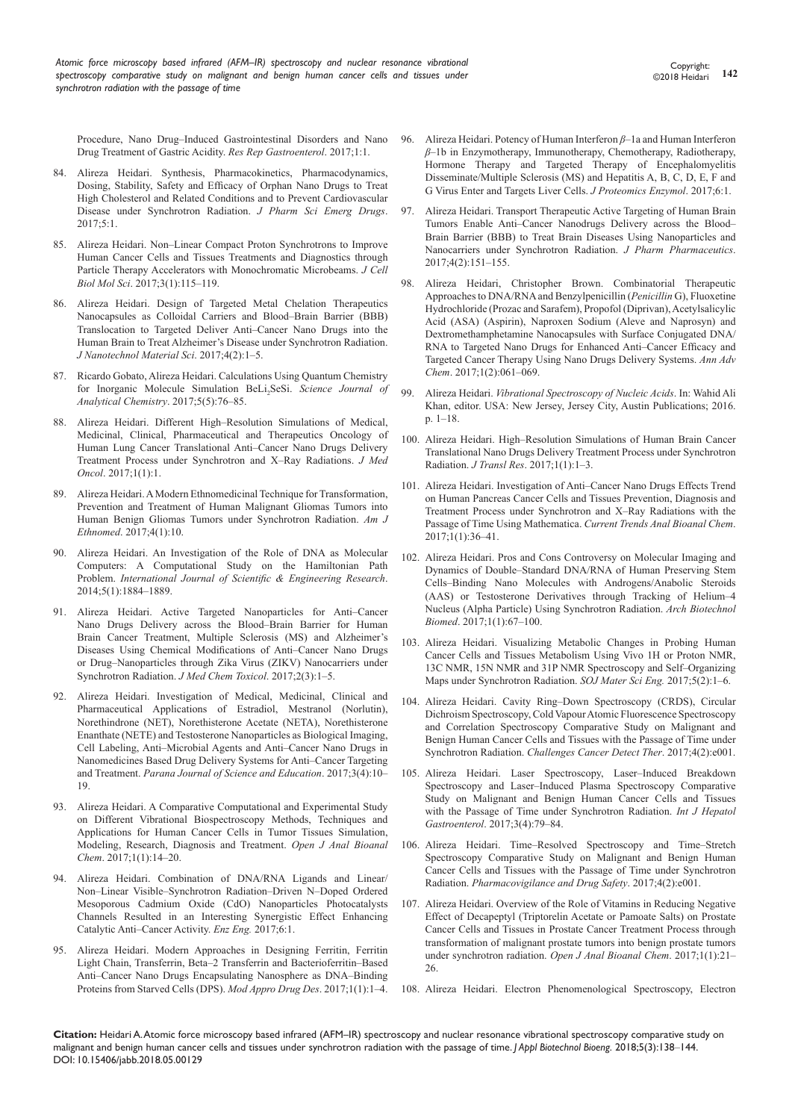Procedure, Nano Drug–Induced Gastrointestinal Disorders and Nano Drug Treatment of Gastric Acidity. *Res Rep Gastroenterol*. 2017;1:1.

- 84. [Alireza Heidari. Synthesis, Pharmacokinetics, Pharmacodynamics,](https://www.scitechnol.com/abstract/synthesis-pharmacokinetics-pharmacodynamics-dosing-stability-safety-and-efficacy-of-orphan-nano-drugs-to-treat-high-cholesterol-an-6404.html)  [Dosing, Stability, Safety and Efficacy of Orphan Nano Drugs to Treat](https://www.scitechnol.com/abstract/synthesis-pharmacokinetics-pharmacodynamics-dosing-stability-safety-and-efficacy-of-orphan-nano-drugs-to-treat-high-cholesterol-an-6404.html)  High Cholesterol and Related Conditions and to Prevent Cardiovascular [Disease under Synchrotron Radiation.](https://www.scitechnol.com/abstract/synthesis-pharmacokinetics-pharmacodynamics-dosing-stability-safety-and-efficacy-of-orphan-nano-drugs-to-treat-high-cholesterol-an-6404.html) *J Pharm Sci Emerg Drugs*.  $2017.5:1$
- 85. [Alireza Heidari. Non–Linear Compact Proton Synchrotrons to Improve](http://paper.researchbib.com/view/paper/143084)  [Human Cancer Cells and Tissues Treatments and Diagnostics through](http://paper.researchbib.com/view/paper/143084)  [Particle Therapy Accelerators with Monochromatic Microbeams.](http://paper.researchbib.com/view/paper/143084) *J Cell Biol Mol Sci*[. 2017;3\(1\):115–119.](http://paper.researchbib.com/view/paper/143084)
- 86. Alireza Heidari. Design of Targeted Metal Chelation Therapeutics Nanocapsules as Colloidal Carriers and Blood–Brain Barrier (BBB) Translocation to Targeted Deliver Anti–Cancer Nano Drugs into the Human Brain to Treat Alzheimer's Disease under Synchrotron Radiation. *J Nanotechnol Material Sci*. 2017;4(2):1–5.
- 87. [Ricardo Gobato, Alireza Heidari. Calculations Using Quantum Chemistry](http://www.sciencepublishinggroup.com/journal/paperinfo?journalid=223&doi=10.11648/j.sjac.20170505.13)  [for Inorganic Molecule Simulation BeLi](http://www.sciencepublishinggroup.com/journal/paperinfo?journalid=223&doi=10.11648/j.sjac.20170505.13) 2 SeSi. *Science Journal of [Analytical Chemistry](http://www.sciencepublishinggroup.com/journal/paperinfo?journalid=223&doi=10.11648/j.sjac.20170505.13)*. 2017;5(5):76–85.
- 88. [Alireza Heidari. Different High–Resolution Simulations of Medical,](http://www.imedpub.com/articles/different-highresolution-simulations-ofmedical-medicinal-clinical-pharmaceuticaland-therapeutics-oncology-of-human-lungcancer-tran.php?aid=22389)  [Medicinal, Clinical, Pharmaceutical and Therapeutics Oncology of](http://www.imedpub.com/articles/different-highresolution-simulations-ofmedical-medicinal-clinical-pharmaceuticaland-therapeutics-oncology-of-human-lungcancer-tran.php?aid=22389)  [Human Lung Cancer Translational Anti–Cancer Nano Drugs Delivery](http://www.imedpub.com/articles/different-highresolution-simulations-ofmedical-medicinal-clinical-pharmaceuticaland-therapeutics-oncology-of-human-lungcancer-tran.php?aid=22389)  [Treatment Process under Synchrotron and X–Ray Radiations.](http://www.imedpub.com/articles/different-highresolution-simulations-ofmedical-medicinal-clinical-pharmaceuticaland-therapeutics-oncology-of-human-lungcancer-tran.php?aid=22389) *J Med Oncol*[. 2017;1\(1\):1.](http://www.imedpub.com/articles/different-highresolution-simulations-ofmedical-medicinal-clinical-pharmaceuticaland-therapeutics-oncology-of-human-lungcancer-tran.php?aid=22389)
- 89. [Alireza Heidari. A Modern Ethnomedicinal Technique for Transformation,](http://www.imedpub.com/articles/a-modern-ethnomedicinal-technique-fortransformation-prevention-and-treatmentof-human-malignant-gliomas-tumors-intohuman-benign-gli.php?aid=20331)  [Prevention and Treatment of Human Malignant Gliomas Tumors into](http://www.imedpub.com/articles/a-modern-ethnomedicinal-technique-fortransformation-prevention-and-treatmentof-human-malignant-gliomas-tumors-intohuman-benign-gli.php?aid=20331)  [Human Benign Gliomas Tumors under Synchrotron Radiation.](http://www.imedpub.com/articles/a-modern-ethnomedicinal-technique-fortransformation-prevention-and-treatmentof-human-malignant-gliomas-tumors-intohuman-benign-gli.php?aid=20331) *Am J Ethnomed*[. 2017;4\(1\):10.](http://www.imedpub.com/articles/a-modern-ethnomedicinal-technique-fortransformation-prevention-and-treatmentof-human-malignant-gliomas-tumors-intohuman-benign-gli.php?aid=20331)
- 90. [Alireza Heidari. An Investigation of the Role of DNA as Molecular](https://www.ijser.org/researchpaper/An-investigation-of-the-role-of-DNA-as-molecular-computers.pdf)  [Computers: A Computational Study on the Hamiltonian Path](https://www.ijser.org/researchpaper/An-investigation-of-the-role-of-DNA-as-molecular-computers.pdf)  Problem. *[International Journal of Scientific & Engineering Research](https://www.ijser.org/researchpaper/An-investigation-of-the-role-of-DNA-as-molecular-computers.pdf)*. [2014;5\(1\):1884–1889.](https://www.ijser.org/researchpaper/An-investigation-of-the-role-of-DNA-as-molecular-computers.pdf)
- 91. Alireza Heidari. Active Targeted Nanoparticles for Anti–Cancer Nano Drugs Delivery across the Blood–Brain Barrier for Human Brain Cancer Treatment, Multiple Sclerosis (MS) and Alzheimer's Diseases Using Chemical Modifications of Anti–Cancer Nano Drugs or Drug–Nanoparticles through Zika Virus (ZIKV) Nanocarriers under Synchrotron Radiation. *J Med Chem Toxicol*. 2017;2(3):1–5.
- 92. [Alireza Heidari. Investigation of Medical, Medicinal, Clinical and](https://drive.google.com/file/d/0BxkqIa7R4j_ReHpZNVlaS2JWZXM/view)  [Pharmaceutical Applications of Estradiol, Mestranol \(Norlutin\),](https://drive.google.com/file/d/0BxkqIa7R4j_ReHpZNVlaS2JWZXM/view)  [Norethindrone \(NET\), Norethisterone Acetate \(NETA\), Norethisterone](https://drive.google.com/file/d/0BxkqIa7R4j_ReHpZNVlaS2JWZXM/view)  [Enanthate \(NETE\) and Testosterone Nanoparticles as Biological Imaging,](https://drive.google.com/file/d/0BxkqIa7R4j_ReHpZNVlaS2JWZXM/view)  [Cell Labeling, Anti–Microbial Agents and Anti–Cancer Nano Drugs in](https://drive.google.com/file/d/0BxkqIa7R4j_ReHpZNVlaS2JWZXM/view)  [Nanomedicines Based Drug Delivery Systems for Anti–Cancer Targeting](https://drive.google.com/file/d/0BxkqIa7R4j_ReHpZNVlaS2JWZXM/view)  and Treatment. *[Parana Journal of Science and Education](https://drive.google.com/file/d/0BxkqIa7R4j_ReHpZNVlaS2JWZXM/view)*. 2017;3(4):10– [19.](https://drive.google.com/file/d/0BxkqIa7R4j_ReHpZNVlaS2JWZXM/view)
- 93. [Alireza Heidari. A Comparative Computational and Experimental Study](https://www.peertechz.com/articles/a-comparative-computational-and-experimental-study-on-different-vibrational-biospectroscopy-methods-techniques-and-applications-for-human-cancer-cells-in-tumor-tissues-simulation-modeling-research-diagnosis-and-treatment.)  [on Different Vibrational Biospectroscopy Methods, Techniques and](https://www.peertechz.com/articles/a-comparative-computational-and-experimental-study-on-different-vibrational-biospectroscopy-methods-techniques-and-applications-for-human-cancer-cells-in-tumor-tissues-simulation-modeling-research-diagnosis-and-treatment.)  [Applications for Human Cancer Cells in Tumor Tissues Simulation,](https://www.peertechz.com/articles/a-comparative-computational-and-experimental-study-on-different-vibrational-biospectroscopy-methods-techniques-and-applications-for-human-cancer-cells-in-tumor-tissues-simulation-modeling-research-diagnosis-and-treatment.)  [Modeling, Research, Diagnosis and Treatment.](https://www.peertechz.com/articles/a-comparative-computational-and-experimental-study-on-different-vibrational-biospectroscopy-methods-techniques-and-applications-for-human-cancer-cells-in-tumor-tissues-simulation-modeling-research-diagnosis-and-treatment.) *Open J Anal Bioanal Chem*[. 2017;1\(1\):14‒20.](https://www.peertechz.com/articles/a-comparative-computational-and-experimental-study-on-different-vibrational-biospectroscopy-methods-techniques-and-applications-for-human-cancer-cells-in-tumor-tissues-simulation-modeling-research-diagnosis-and-treatment.)
- 94. Alireza Heidari. Combination of DNA/RNA Ligands and Linear/ Non–Linear Visible–Synchrotron Radiation–Driven N–Doped Ordered Mesoporous Cadmium Oxide (CdO) Nanoparticles Photocatalysts Channels Resulted in an Interesting Synergistic Effect Enhancing Catalytic Anti–Cancer Activity. *Enz Eng.* 2017;6:1.
- 95. [Alireza Heidari. Modern Approaches in Designing Ferritin, Ferritin](http://crimsonpublishers.com/madd/pdf/MADD.000504.pdf)  [Light Chain, Transferrin, Beta–2 Transferrin and Bacterioferritin–Based](http://crimsonpublishers.com/madd/pdf/MADD.000504.pdf)  [Anti–Cancer Nano Drugs Encapsulating Nanosphere as DNA–Binding](http://crimsonpublishers.com/madd/pdf/MADD.000504.pdf)  [Proteins from Starved Cells \(DPS\).](http://crimsonpublishers.com/madd/pdf/MADD.000504.pdf) *Mod Appro Drug Des.* 2017;1(1):1-4.
- 96. [Alireza Heidari. Potency of Human Interferon](https://www.scitechnol.com/peer-review/potency-of-human-interferon-1a-and-human-interferon-1b-in-enzymotherapy-immunotherapy-chemotherapy-radiotherapy-hormone-therapy-an-C0ib.php?article_id=6180) *β*–1a and Human Interferon *β*[–1b in Enzymotherapy, Immunotherapy, Chemotherapy, Radiotherapy,](https://www.scitechnol.com/peer-review/potency-of-human-interferon-1a-and-human-interferon-1b-in-enzymotherapy-immunotherapy-chemotherapy-radiotherapy-hormone-therapy-an-C0ib.php?article_id=6180)  [Hormone Therapy and Targeted Therapy of Encephalomyelitis](https://www.scitechnol.com/peer-review/potency-of-human-interferon-1a-and-human-interferon-1b-in-enzymotherapy-immunotherapy-chemotherapy-radiotherapy-hormone-therapy-an-C0ib.php?article_id=6180)  [Disseminate/Multiple Sclerosis \(MS\) and Hepatitis A, B, C, D, E, F and](https://www.scitechnol.com/peer-review/potency-of-human-interferon-1a-and-human-interferon-1b-in-enzymotherapy-immunotherapy-chemotherapy-radiotherapy-hormone-therapy-an-C0ib.php?article_id=6180)  [G Virus Enter and Targets Liver Cells.](https://www.scitechnol.com/peer-review/potency-of-human-interferon-1a-and-human-interferon-1b-in-enzymotherapy-immunotherapy-chemotherapy-radiotherapy-hormone-therapy-an-C0ib.php?article_id=6180) *J Proteomics Enzymol*. 2017;6:1.
- 97. [Alireza Heidari. Transport Therapeutic Active Targeting of Human Brain](http://paper.researchbib.com/view/paper/142875)  [Tumors Enable Anti–Cancer Nanodrugs Delivery across the Blood–](http://paper.researchbib.com/view/paper/142875) [Brain Barrier \(BBB\) to Treat Brain Diseases Using Nanoparticles and](http://paper.researchbib.com/view/paper/142875)  [Nanocarriers under Synchrotron Radiation.](http://paper.researchbib.com/view/paper/142875) *J Pharm Pharmaceutics*. [2017;4\(2\):151–155.](http://paper.researchbib.com/view/paper/142875)
- 98. [Alireza Heidari, Christopher Brown. Combinatorial Therapeutic](https://www.heighpubs.org/hjc/aac-aid1008.php)  [Approaches to DNA/RNA and Benzylpenicillin \(](https://www.heighpubs.org/hjc/aac-aid1008.php)*Penicillin* G), Fluoxetine [Hydrochloride \(Prozac and Sarafem\), Propofol \(Diprivan\), Acetylsalicylic](https://www.heighpubs.org/hjc/aac-aid1008.php)  [Acid \(ASA\) \(Aspirin\), Naproxen Sodium \(Aleve and Naprosyn\) and](https://www.heighpubs.org/hjc/aac-aid1008.php)  [Dextromethamphetamine Nanocapsules with Surface Conjugated DNA/](https://www.heighpubs.org/hjc/aac-aid1008.php) [RNA to Targeted Nano Drugs for Enhanced Anti–Cancer Efficacy and](https://www.heighpubs.org/hjc/aac-aid1008.php)  [Targeted Cancer Therapy Using Nano Drugs Delivery Systems.](https://www.heighpubs.org/hjc/aac-aid1008.php) *Ann Adv Chem*[. 2017;1\(2\):061–069.](https://www.heighpubs.org/hjc/aac-aid1008.php)
- 99. Alireza Heidari. *[Vibrational Spectroscopy of Nucleic Acids](http://austinpublishinggroup.com/ebooks/basic-biochemistry/chapters/BBC-16-06.pdf)*. In: Wahid Ali [Khan, editor. USA: New Jersey, Jersey City, Austin Publications; 2016.](http://austinpublishinggroup.com/ebooks/basic-biochemistry/chapters/BBC-16-06.pdf)  [p. 1–18.](http://austinpublishinggroup.com/ebooks/basic-biochemistry/chapters/BBC-16-06.pdf)
- 100. [Alireza Heidari. High–Resolution Simulations of Human Brain Cancer](http://www.alliedacademies.org/articles/highresolution-simulations-of-human-brain-cancer-translational-nano-drugs-delivery-treatment-process-under-synchrotron-radiation-8707.html)  [Translational Nano Drugs Delivery Treatment Process under Synchrotron](http://www.alliedacademies.org/articles/highresolution-simulations-of-human-brain-cancer-translational-nano-drugs-delivery-treatment-process-under-synchrotron-radiation-8707.html)  Radiation. *J Transl Res*[. 2017;1\(1\):1–3.](http://www.alliedacademies.org/articles/highresolution-simulations-of-human-brain-cancer-translational-nano-drugs-delivery-treatment-process-under-synchrotron-radiation-8707.html)
- 101. [Alireza Heidari. Investigation of Anti–Cancer Nano Drugs Effects Trend](http://scholarlypages.org/Articles/analytical-and-bioanalytical-chemistry/ctabc-1-005.pdf)  [on Human Pancreas Cancer Cells and Tissues Prevention, Diagnosis and](http://scholarlypages.org/Articles/analytical-and-bioanalytical-chemistry/ctabc-1-005.pdf)  [Treatment Process under Synchrotron and X–Ray Radiations with the](http://scholarlypages.org/Articles/analytical-and-bioanalytical-chemistry/ctabc-1-005.pdf)  [Passage of Time Using Mathematica.](http://scholarlypages.org/Articles/analytical-and-bioanalytical-chemistry/ctabc-1-005.pdf) *Current Trends Anal Bioanal Chem*. [2017;1\(1\):36–41.](http://scholarlypages.org/Articles/analytical-and-bioanalytical-chemistry/ctabc-1-005.pdf)
- 102. [Alireza Heidari. Pros and Cons Controversy on Molecular Imaging and](https://www.heighpubs.org/hjb/pdf/abb-aid1007.pdf)  [Dynamics of Double–Standard DNA/RNA of Human Preserving Stem](https://www.heighpubs.org/hjb/pdf/abb-aid1007.pdf)  [Cells–Binding Nano Molecules with Androgens/Anabolic Steroids](https://www.heighpubs.org/hjb/pdf/abb-aid1007.pdf)  [\(AAS\) or Testosterone Derivatives through Tracking of Helium–4](https://www.heighpubs.org/hjb/pdf/abb-aid1007.pdf)  [Nucleus \(Alpha Particle\) Using Synchrotron Radiation.](https://www.heighpubs.org/hjb/pdf/abb-aid1007.pdf) *Arch Biotechnol Biomed*[. 2017;1\(1\):67–100.](https://www.heighpubs.org/hjb/pdf/abb-aid1007.pdf)
- 103. [Alireza Heidari. Visualizing Metabolic Changes in Probing Human](https://symbiosisonlinepublishing.com/materialsscience-engineering/materialsscience-engineering50.pdf)  [Cancer Cells and Tissues Metabolism Using Vivo 1H or Proton NMR,](https://symbiosisonlinepublishing.com/materialsscience-engineering/materialsscience-engineering50.pdf)  [13C NMR, 15N NMR and 31P NMR Spectroscopy and Self–Organizing](https://symbiosisonlinepublishing.com/materialsscience-engineering/materialsscience-engineering50.pdf)  [Maps under Synchrotron Radiation.](https://symbiosisonlinepublishing.com/materialsscience-engineering/materialsscience-engineering50.pdf) *SOJ Mater Sci Eng.* 2017;5(2):1–6.
- 104. [Alireza Heidari. Cavity Ring–Down Spectroscopy \(CRDS\), Circular](http://www.enlivenarchive.org/articles/cavity-ringdown-spectroscopy-crds-circular-dichroism-spectroscopycold-vapour-atomic-fluorescence-spectroscopy-and-correlation-spec.pdf)  [Dichroism Spectroscopy, Cold Vapour Atomic Fluorescence Spectroscopy](http://www.enlivenarchive.org/articles/cavity-ringdown-spectroscopy-crds-circular-dichroism-spectroscopycold-vapour-atomic-fluorescence-spectroscopy-and-correlation-spec.pdf)  [and Correlation Spectroscopy Comparative Study on Malignant and](http://www.enlivenarchive.org/articles/cavity-ringdown-spectroscopy-crds-circular-dichroism-spectroscopycold-vapour-atomic-fluorescence-spectroscopy-and-correlation-spec.pdf)  [Benign Human Cancer Cells and Tissues with the Passage of Time under](http://www.enlivenarchive.org/articles/cavity-ringdown-spectroscopy-crds-circular-dichroism-spectroscopycold-vapour-atomic-fluorescence-spectroscopy-and-correlation-spec.pdf)  Synchrotron Radiation. *[Challenges Cancer Detect Ther](http://www.enlivenarchive.org/articles/cavity-ringdown-spectroscopy-crds-circular-dichroism-spectroscopycold-vapour-atomic-fluorescence-spectroscopy-and-correlation-spec.pdf)*. 2017;4(2):e001.
- 105. [Alireza Heidari. Laser Spectroscopy, Laser–Induced Breakdown](http://www.scireslit.com/Gastroenterology/IJHG-ID30.pdf)  [Spectroscopy and Laser–Induced Plasma Spectroscopy Comparative](http://www.scireslit.com/Gastroenterology/IJHG-ID30.pdf)  [Study on Malignant and Benign Human Cancer Cells and Tissues](http://www.scireslit.com/Gastroenterology/IJHG-ID30.pdf)  [with the Passage of Time under Synchrotron Radiation.](http://www.scireslit.com/Gastroenterology/IJHG-ID30.pdf) *Int J Hepatol Gastroenterol*[. 2017;3\(4\):79–84.](http://www.scireslit.com/Gastroenterology/IJHG-ID30.pdf)
- 106. [Alireza Heidari. Time–Resolved Spectroscopy and Time–Stretch](http://www.enlivenarchive.org/articles/timeresolved-spectroscopy-and-timestretch-spectroscopy-comparative-study-onmalignant-and-benign-human-cancer-cells-and-tissues-wit.pdf)  [Spectroscopy Comparative Study on Malignant and Benign Human](http://www.enlivenarchive.org/articles/timeresolved-spectroscopy-and-timestretch-spectroscopy-comparative-study-onmalignant-and-benign-human-cancer-cells-and-tissues-wit.pdf)  [Cancer Cells and Tissues with the Passage of Time under Synchrotron](http://www.enlivenarchive.org/articles/timeresolved-spectroscopy-and-timestretch-spectroscopy-comparative-study-onmalignant-and-benign-human-cancer-cells-and-tissues-wit.pdf)  Radiation. *[Pharmacovigilance and Drug Safety](http://www.enlivenarchive.org/articles/timeresolved-spectroscopy-and-timestretch-spectroscopy-comparative-study-onmalignant-and-benign-human-cancer-cells-and-tissues-wit.pdf)*. 2017;4(2):e001.
- 107. Alireza Heidari. Overview of the Role of Vitamins in Reducing Negative Effect of Decapeptyl (Triptorelin Acetate or Pamoate Salts) on Prostate Cancer Cells and Tissues in Prostate Cancer Treatment Process through transformation of malignant prostate tumors into benign prostate tumors under synchrotron radiation. *Open J Anal Bioanal Chem*. 2017;1(1):21– 26.
- 108. Alireza Heidari. Electron Phenomenological Spectroscopy, Electron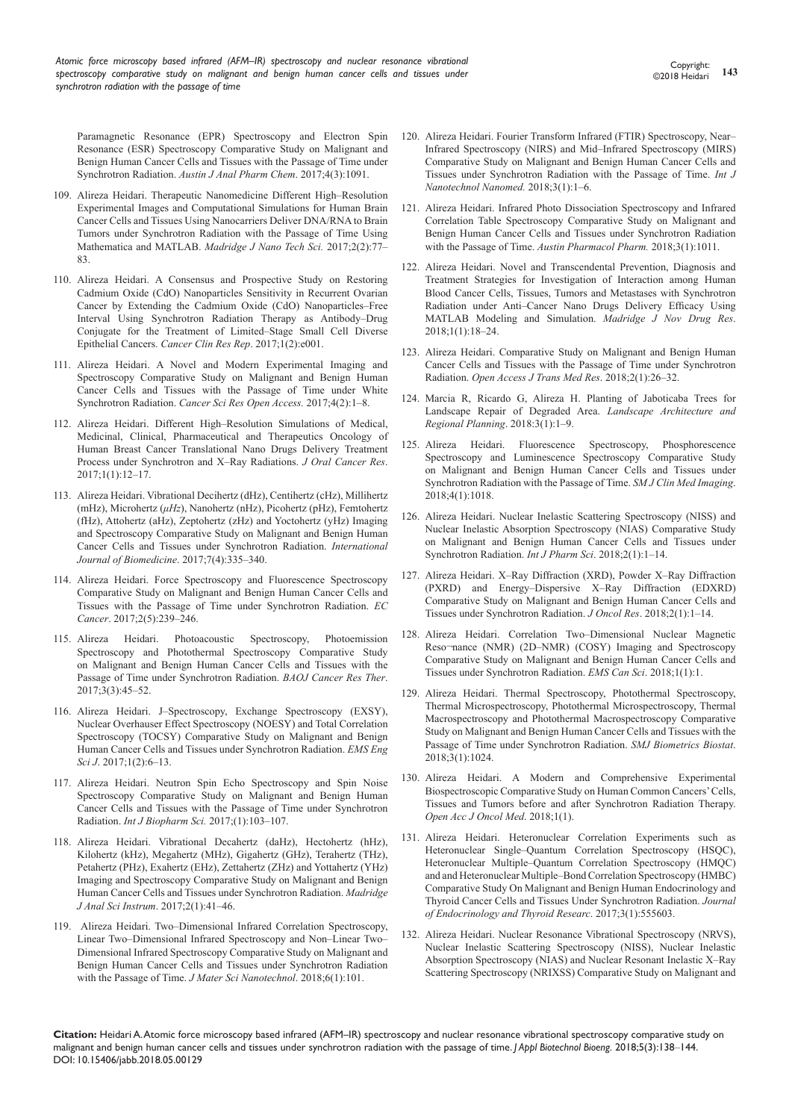Paramagnetic Resonance (EPR) Spectroscopy and Electron Spin Resonance (ESR) Spectroscopy Comparative Study on Malignant and Benign Human Cancer Cells and Tissues with the Passage of Time under Synchrotron Radiation. *Austin J Anal Pharm Chem*. 2017;4(3):1091.

- 109. [Alireza Heidari. Therapeutic Nanomedicine Different High–Resolution](https://madridge.org/journal-of-nanotechnology-and-nanoscience/MJNN-1000114.pdf)  [Experimental Images and Computational Simulations for Human Brain](https://madridge.org/journal-of-nanotechnology-and-nanoscience/MJNN-1000114.pdf)  [Cancer Cells and Tissues Using Nanocarriers Deliver DNA/RNA to Brain](https://madridge.org/journal-of-nanotechnology-and-nanoscience/MJNN-1000114.pdf)  [Tumors under Synchrotron Radiation with the Passage of Time Using](https://madridge.org/journal-of-nanotechnology-and-nanoscience/MJNN-1000114.pdf)  [Mathematica and MATLAB.](https://madridge.org/journal-of-nanotechnology-and-nanoscience/MJNN-1000114.pdf) *Madridge J Nano Tech Sci.* 2017;2(2):77– [83.](https://madridge.org/journal-of-nanotechnology-and-nanoscience/MJNN-1000114.pdf)
- 110. [Alireza Heidari. A Consensus and Prospective Study on Restoring](http://www.bibliotics.org/articles/a-consensus-and-prospective-study-on-restoring-cadmium-oxide-cdo-nanoparticles-sensitivity-in-recurrent-ovarian-cancer-by-extendin.pdf)  [Cadmium Oxide \(CdO\) Nanoparticles Sensitivity in Recurrent Ovarian](http://www.bibliotics.org/articles/a-consensus-and-prospective-study-on-restoring-cadmium-oxide-cdo-nanoparticles-sensitivity-in-recurrent-ovarian-cancer-by-extendin.pdf)  [Cancer by Extending the Cadmium Oxide \(CdO\) Nanoparticles–Free](http://www.bibliotics.org/articles/a-consensus-and-prospective-study-on-restoring-cadmium-oxide-cdo-nanoparticles-sensitivity-in-recurrent-ovarian-cancer-by-extendin.pdf)  [Interval Using Synchrotron Radiation Therapy as Antibody–Drug](http://www.bibliotics.org/articles/a-consensus-and-prospective-study-on-restoring-cadmium-oxide-cdo-nanoparticles-sensitivity-in-recurrent-ovarian-cancer-by-extendin.pdf)  [Conjugate for the Treatment of Limited–Stage Small Cell Diverse](http://www.bibliotics.org/articles/a-consensus-and-prospective-study-on-restoring-cadmium-oxide-cdo-nanoparticles-sensitivity-in-recurrent-ovarian-cancer-by-extendin.pdf)  Epithelial Cancers. *[Cancer Clin Res Rep](http://www.bibliotics.org/articles/a-consensus-and-prospective-study-on-restoring-cadmium-oxide-cdo-nanoparticles-sensitivity-in-recurrent-ovarian-cancer-by-extendin.pdf)*. 2017;1(2):e001.
- 111. [Alireza Heidari. A Novel and Modern Experimental Imaging and](https://symbiosisonlinepublishing.com/cancerscience-research/cancerscience-research37.php)  [Spectroscopy Comparative Study on Malignant and Benign Human](https://symbiosisonlinepublishing.com/cancerscience-research/cancerscience-research37.php)  [Cancer Cells and Tissues with the Passage of Time under White](https://symbiosisonlinepublishing.com/cancerscience-research/cancerscience-research37.php)  Synchrotron Radiation. *[Cancer Sci Res Open Access.](https://symbiosisonlinepublishing.com/cancerscience-research/cancerscience-research37.php)* 2017;4(2):1–8.
- 112. [Alireza Heidari. Different High–Resolution Simulations of Medical,](http://scholarlypages.org/Articles/oral-cancer/jocr-1-003.php?jid=)  [Medicinal, Clinical, Pharmaceutical and Therapeutics Oncology of](http://scholarlypages.org/Articles/oral-cancer/jocr-1-003.php?jid=)  [Human Breast Cancer Translational Nano Drugs Delivery Treatment](http://scholarlypages.org/Articles/oral-cancer/jocr-1-003.php?jid=)  [Process under Synchrotron and X–Ray Radiations.](http://scholarlypages.org/Articles/oral-cancer/jocr-1-003.php?jid=) *J Oral Cancer Res*. [2017;1\(1\):12–17.](http://scholarlypages.org/Articles/oral-cancer/jocr-1-003.php?jid=)
- 113. [Alireza Heidari. Vibrational Decihertz \(dHz\), Centihertz \(cHz\), Millihertz](https://doaj.org/article/81d1a3e3d936496b8643dc1e43948100)  (mHz), Microhertz (*μHz*[\), Nanohertz \(nHz\), Picohertz \(pHz\), Femtohertz](https://doaj.org/article/81d1a3e3d936496b8643dc1e43948100)  [\(fHz\), Attohertz \(aHz\), Zeptohertz \(zHz\) and Yoctohertz \(yHz\) Imaging](https://doaj.org/article/81d1a3e3d936496b8643dc1e43948100)  [and Spectroscopy Comparative Study on Malignant and Benign Human](https://doaj.org/article/81d1a3e3d936496b8643dc1e43948100)  [Cancer Cells and Tissues under Synchrotron Radiation.](https://doaj.org/article/81d1a3e3d936496b8643dc1e43948100) *International [Journal of Biomedicine](https://doaj.org/article/81d1a3e3d936496b8643dc1e43948100)*. 2017;7(4):335–340.
- 114. [Alireza Heidari. Force Spectroscopy and Fluorescence Spectroscopy](https://www.ecronicon.com/ecca/pdf/ECCA-02-00036.pdf)  [Comparative Study on Malignant and Benign Human Cancer Cells and](https://www.ecronicon.com/ecca/pdf/ECCA-02-00036.pdf)  [Tissues with the Passage of Time under Synchrotron Radiation.](https://www.ecronicon.com/ecca/pdf/ECCA-02-00036.pdf) *EC Cancer*[. 2017;2\(5\):239–246.](https://www.ecronicon.com/ecca/pdf/ECCA-02-00036.pdf)
- 115. [Alireza Heidari. Photoacoustic Spectroscopy, Photoemission](https://bioaccent.org/cancer-sciences/cancer-sciences45.pdf)  [Spectroscopy and Photothermal Spectroscopy Comparative Study](https://bioaccent.org/cancer-sciences/cancer-sciences45.pdf)  [on Malignant and Benign Human Cancer Cells and Tissues with the](https://bioaccent.org/cancer-sciences/cancer-sciences45.pdf)  [Passage of Time under Synchrotron Radiation.](https://bioaccent.org/cancer-sciences/cancer-sciences45.pdf) *BAOJ Cancer Res Ther*. [2017;3\(3\):45–52.](https://bioaccent.org/cancer-sciences/cancer-sciences45.pdf)
- 116. Alireza Heidari. J–Spectroscopy, Exchange Spectroscopy (EXSY), Nuclear Overhauser Effect Spectroscopy (NOESY) and Total Correlation Spectroscopy (TOCSY) Comparative Study on Malignant and Benign Human Cancer Cells and Tissues under Synchrotron Radiation. *EMS Eng Sci J*. 2017;1(2):6–13.
- 117. Alireza Heidari. Neutron Spin Echo Spectroscopy and Spin Noise Spectroscopy Comparative Study on Malignant and Benign Human Cancer Cells and Tissues with the Passage of Time under Synchrotron Radiation. *Int J Biopharm Sci.* 2017;(1):103–107.
- 118. [Alireza Heidari. Vibrational Decahertz \(daHz\), Hectohertz \(hHz\),](https://madridge.org/journal-of-analytical-sciences-and-instrumentation/MJAI-2-1000109.pdf)  [Kilohertz \(kHz\), Megahertz \(MHz\), Gigahertz \(GHz\), Terahertz \(THz\),](https://madridge.org/journal-of-analytical-sciences-and-instrumentation/MJAI-2-1000109.pdf)  [Petahertz \(PHz\), Exahertz \(EHz\), Zettahertz \(ZHz\) and Yottahertz \(YHz\)](https://madridge.org/journal-of-analytical-sciences-and-instrumentation/MJAI-2-1000109.pdf)  [Imaging and Spectroscopy Comparative Study on Malignant and Benign](https://madridge.org/journal-of-analytical-sciences-and-instrumentation/MJAI-2-1000109.pdf)  [Human Cancer Cells and Tissues under Synchrotron Radiation.](https://madridge.org/journal-of-analytical-sciences-and-instrumentation/MJAI-2-1000109.pdf) *Madridge J Anal Sci Instrum*[. 2017;2\(1\):41–46.](https://madridge.org/journal-of-analytical-sciences-and-instrumentation/MJAI-2-1000109.pdf)
- 119. [Alireza Heidari. Two–Dimensional Infrared Correlation Spectroscopy,](http://www.annexpublishers.co/articles/JMSN/6101-Two-Dimensional-Infrared-Correlation-Spectroscopy-Linear.pdf)  [Linear Two–Dimensional Infrared Spectroscopy and Non–Linear Two–](http://www.annexpublishers.co/articles/JMSN/6101-Two-Dimensional-Infrared-Correlation-Spectroscopy-Linear.pdf) [Dimensional Infrared Spectroscopy Comparative Study on Malignant and](http://www.annexpublishers.co/articles/JMSN/6101-Two-Dimensional-Infrared-Correlation-Spectroscopy-Linear.pdf)  [Benign Human Cancer Cells and Tissues under Synchrotron Radiation](http://www.annexpublishers.co/articles/JMSN/6101-Two-Dimensional-Infrared-Correlation-Spectroscopy-Linear.pdf)  [with the Passage of Time.](http://www.annexpublishers.co/articles/JMSN/6101-Two-Dimensional-Infrared-Correlation-Spectroscopy-Linear.pdf) *J Mater Sci Nanotechnol*. 2018;6(1):101.
- 120. [Alireza Heidari. Fourier Transform Infrared \(FTIR\) Spectroscopy, Near–](http://www.opastonline.com/wp-content/uploads/2018/01/fourier-transform-infrared-spectroscopy-near-infrared-spectroscopy-mid-infrared-spectroscopy-comparative-study-on-malignant-benign-human-cancer-cells-tissues-ijnn-18-001.pdf) [Infrared Spectroscopy \(NIRS\) and Mid–Infrared Spectroscopy \(MIRS\)](http://www.opastonline.com/wp-content/uploads/2018/01/fourier-transform-infrared-spectroscopy-near-infrared-spectroscopy-mid-infrared-spectroscopy-comparative-study-on-malignant-benign-human-cancer-cells-tissues-ijnn-18-001.pdf)  [Comparative Study on Malignant and Benign Human Cancer Cells and](http://www.opastonline.com/wp-content/uploads/2018/01/fourier-transform-infrared-spectroscopy-near-infrared-spectroscopy-mid-infrared-spectroscopy-comparative-study-on-malignant-benign-human-cancer-cells-tissues-ijnn-18-001.pdf)  [Tissues under Synchrotron Radiation with the Passage of Time.](http://www.opastonline.com/wp-content/uploads/2018/01/fourier-transform-infrared-spectroscopy-near-infrared-spectroscopy-mid-infrared-spectroscopy-comparative-study-on-malignant-benign-human-cancer-cells-tissues-ijnn-18-001.pdf) *Int J [Nanotechnol Nanomed.](http://www.opastonline.com/wp-content/uploads/2018/01/fourier-transform-infrared-spectroscopy-near-infrared-spectroscopy-mid-infrared-spectroscopy-comparative-study-on-malignant-benign-human-cancer-cells-tissues-ijnn-18-001.pdf)* 2018;3(1):1–6.
- 121. [Alireza Heidari. Infrared Photo Dissociation Spectroscopy and Infrared](https://www.google.com/url?sa=t&rct=j&q=&esrc=s&source=web&cd=1&ved=0ahUKEwjZ87eQs_jaAhWGqo8KHXURDiwQFggmMAA&url=http%3A%2F%2Faustinpublishinggroup.com%2Fpharmacology-pharmaceutics%2Fdownload.php%3Ffile%3Dfulltext%2Fapp-v3-id1011.pdf&usg=AOvVaw0r2_TAUIAldT)  [Correlation Table Spectroscopy Comparative Study on Malignant and](https://www.google.com/url?sa=t&rct=j&q=&esrc=s&source=web&cd=1&ved=0ahUKEwjZ87eQs_jaAhWGqo8KHXURDiwQFggmMAA&url=http%3A%2F%2Faustinpublishinggroup.com%2Fpharmacology-pharmaceutics%2Fdownload.php%3Ffile%3Dfulltext%2Fapp-v3-id1011.pdf&usg=AOvVaw0r2_TAUIAldT)  [Benign Human Cancer Cells and Tissues under Synchrotron Radiation](https://www.google.com/url?sa=t&rct=j&q=&esrc=s&source=web&cd=1&ved=0ahUKEwjZ87eQs_jaAhWGqo8KHXURDiwQFggmMAA&url=http%3A%2F%2Faustinpublishinggroup.com%2Fpharmacology-pharmaceutics%2Fdownload.php%3Ffile%3Dfulltext%2Fapp-v3-id1011.pdf&usg=AOvVaw0r2_TAUIAldT)  with the Passage of Time. *[Austin Pharmacol Pharm.](https://www.google.com/url?sa=t&rct=j&q=&esrc=s&source=web&cd=1&ved=0ahUKEwjZ87eQs_jaAhWGqo8KHXURDiwQFggmMAA&url=http%3A%2F%2Faustinpublishinggroup.com%2Fpharmacology-pharmaceutics%2Fdownload.php%3Ffile%3Dfulltext%2Fapp-v3-id1011.pdf&usg=AOvVaw0r2_TAUIAldT)* 2018;3(1):1011.
- 122. [Alireza Heidari. Novel and Transcendental Prevention, Diagnosis and](https://madridge.org/journal-of-novel-drug-research/MJNDR-1-1000103.pdf)  [Treatment Strategies for Investigation of Interaction among Human](https://madridge.org/journal-of-novel-drug-research/MJNDR-1-1000103.pdf)  [Blood Cancer Cells, Tissues, Tumors and Metastases with Synchrotron](https://madridge.org/journal-of-novel-drug-research/MJNDR-1-1000103.pdf)  [Radiation under Anti–Cancer Nano Drugs Delivery Efficacy Using](https://madridge.org/journal-of-novel-drug-research/MJNDR-1-1000103.pdf)  [MATLAB Modeling and Simulation.](https://madridge.org/journal-of-novel-drug-research/MJNDR-1-1000103.pdf) *Madridge J Nov Drug Res*. [2018;1\(1\):18–24.](https://madridge.org/journal-of-novel-drug-research/MJNDR-1-1000103.pdf)
- 123. [Alireza Heidari. Comparative Study on Malignant and Benign Human](http://medcraveonline.com/OAJTMR/OAJTMR-02-00026.pdf)  [Cancer Cells and Tissues with the Passage of Time under Synchrotron](http://medcraveonline.com/OAJTMR/OAJTMR-02-00026.pdf)  Radiation. *[Open Access J Trans Med Res](http://medcraveonline.com/OAJTMR/OAJTMR-02-00026.pdf)*. 2018;2(1):26–32.
- 124. [Marcia R, Ricardo G, Alireza H. Planting of Jaboticaba Trees for](http://www.sciencepublishinggroup.com/journal/paperinfo?journalid=241&doi=10.11648/j.larp.20180301.11)  [Landscape Repair of Degraded Area.](http://www.sciencepublishinggroup.com/journal/paperinfo?journalid=241&doi=10.11648/j.larp.20180301.11) *Landscape Architecture and [Regional Planning](http://www.sciencepublishinggroup.com/journal/paperinfo?journalid=241&doi=10.11648/j.larp.20180301.11)*. 2018:3(1):1–9.
- 125. [Alireza Heidari. Fluorescence Spectroscopy, Phosphorescence](https://www.google.com/url?sa=t&rct=j&q=&esrc=s&source=web&cd=1&ved=0ahUKEwjilJGus_jaAhWILY8KHfNuCL8QFggmMAA&url=http%3A%2F%2Fsmjournals.com%2Fclinical-medical-imaging%2Fdownload.php%3Ffile%3Dfulltext%2Fsmjcmi-v4-1018.pdf&usg=AOvVaw1d3K5_Gm49To0Le9K1SWz5)  [Spectroscopy and Luminescence Spectroscopy Comparative Study](https://www.google.com/url?sa=t&rct=j&q=&esrc=s&source=web&cd=1&ved=0ahUKEwjilJGus_jaAhWILY8KHfNuCL8QFggmMAA&url=http%3A%2F%2Fsmjournals.com%2Fclinical-medical-imaging%2Fdownload.php%3Ffile%3Dfulltext%2Fsmjcmi-v4-1018.pdf&usg=AOvVaw1d3K5_Gm49To0Le9K1SWz5)  [on Malignant and Benign Human Cancer Cells and Tissues under](https://www.google.com/url?sa=t&rct=j&q=&esrc=s&source=web&cd=1&ved=0ahUKEwjilJGus_jaAhWILY8KHfNuCL8QFggmMAA&url=http%3A%2F%2Fsmjournals.com%2Fclinical-medical-imaging%2Fdownload.php%3Ffile%3Dfulltext%2Fsmjcmi-v4-1018.pdf&usg=AOvVaw1d3K5_Gm49To0Le9K1SWz5)  [Synchrotron Radiation with the Passage of Time.](https://www.google.com/url?sa=t&rct=j&q=&esrc=s&source=web&cd=1&ved=0ahUKEwjilJGus_jaAhWILY8KHfNuCL8QFggmMAA&url=http%3A%2F%2Fsmjournals.com%2Fclinical-medical-imaging%2Fdownload.php%3Ffile%3Dfulltext%2Fsmjcmi-v4-1018.pdf&usg=AOvVaw1d3K5_Gm49To0Le9K1SWz5) *SM J Clin Med Imaging*. [2018;4\(1\):1018.](https://www.google.com/url?sa=t&rct=j&q=&esrc=s&source=web&cd=1&ved=0ahUKEwjilJGus_jaAhWILY8KHfNuCL8QFggmMAA&url=http%3A%2F%2Fsmjournals.com%2Fclinical-medical-imaging%2Fdownload.php%3Ffile%3Dfulltext%2Fsmjcmi-v4-1018.pdf&usg=AOvVaw1d3K5_Gm49To0Le9K1SWz5)
- 126. [Alireza Heidari. Nuclear Inelastic Scattering Spectroscopy \(NISS\) and](https://scidoc.org/IJBCMB-2332-2756-06-001e.php)  [Nuclear Inelastic Absorption Spectroscopy \(NIAS\) Comparative Study](https://scidoc.org/IJBCMB-2332-2756-06-001e.php)  [on Malignant and Benign Human Cancer Cells and Tissues under](https://scidoc.org/IJBCMB-2332-2756-06-001e.php)  [Synchrotron Radiation.](https://scidoc.org/IJBCMB-2332-2756-06-001e.php) *Int J Pharm Sci*. 2018;2(1):1–14.
- 127. [Alireza Heidari. X–Ray Diffraction \(XRD\), Powder X–Ray Diffraction](https://www.gudapuris.com/articles/JOR-2-e201.pdf)  [\(PXRD\) and Energy–Dispersive X–Ray Diffraction \(EDXRD\)](https://www.gudapuris.com/articles/JOR-2-e201.pdf)  [Comparative Study on Malignant and Benign Human Cancer Cells and](https://www.gudapuris.com/articles/JOR-2-e201.pdf)  [Tissues under Synchrotron Radiation.](https://www.gudapuris.com/articles/JOR-2-e201.pdf) *J Oncol Res*. 2018;2(1):1–14.
- 128. Alireza Heidari. Correlation Two–Dimensional Nuclear Magnetic Reso¬nance (NMR) (2D–NMR) (COSY) Imaging and Spectroscopy Comparative Study on Malignant and Benign Human Cancer Cells and Tissues under Synchrotron Radiation. *EMS Can Sci*. 2018;1(1):1.
- 129. [Alireza Heidari. Thermal Spectroscopy, Photothermal Spectroscopy,](https://www.google.com/url?sa=t&rct=j&q=&esrc=s&source=web&cd=1&ved=0ahUKEwjfsqXMs_jaAhUI148KHXVADhsQFggoMAA&url=http%3A%2F%2Fsmjournals.com%2Fbiometrics-and-biostatistics%2Fdownload.php%3Ffile%3Dfulltext%2Fsmjbb-v3-1024.pdf&usg=AOvVaw1TIBvXQS358mXwm7O1JJW)  [Thermal Microspectroscopy, Photothermal Microspectroscopy, Thermal](https://www.google.com/url?sa=t&rct=j&q=&esrc=s&source=web&cd=1&ved=0ahUKEwjfsqXMs_jaAhUI148KHXVADhsQFggoMAA&url=http%3A%2F%2Fsmjournals.com%2Fbiometrics-and-biostatistics%2Fdownload.php%3Ffile%3Dfulltext%2Fsmjbb-v3-1024.pdf&usg=AOvVaw1TIBvXQS358mXwm7O1JJW)  [Macrospectroscopy and Photothermal Macrospectroscopy Comparative](https://www.google.com/url?sa=t&rct=j&q=&esrc=s&source=web&cd=1&ved=0ahUKEwjfsqXMs_jaAhUI148KHXVADhsQFggoMAA&url=http%3A%2F%2Fsmjournals.com%2Fbiometrics-and-biostatistics%2Fdownload.php%3Ffile%3Dfulltext%2Fsmjbb-v3-1024.pdf&usg=AOvVaw1TIBvXQS358mXwm7O1JJW)  [Study on Malignant and Benign Human Cancer Cells and Tissues with the](https://www.google.com/url?sa=t&rct=j&q=&esrc=s&source=web&cd=1&ved=0ahUKEwjfsqXMs_jaAhUI148KHXVADhsQFggoMAA&url=http%3A%2F%2Fsmjournals.com%2Fbiometrics-and-biostatistics%2Fdownload.php%3Ffile%3Dfulltext%2Fsmjbb-v3-1024.pdf&usg=AOvVaw1TIBvXQS358mXwm7O1JJW)  [Passage of Time under Synchrotron Radiation.](https://www.google.com/url?sa=t&rct=j&q=&esrc=s&source=web&cd=1&ved=0ahUKEwjfsqXMs_jaAhUI148KHXVADhsQFggoMAA&url=http%3A%2F%2Fsmjournals.com%2Fbiometrics-and-biostatistics%2Fdownload.php%3Ffile%3Dfulltext%2Fsmjbb-v3-1024.pdf&usg=AOvVaw1TIBvXQS358mXwm7O1JJW) *SMJ Biometrics Biostat*. [2018;3\(1\):1024.](https://www.google.com/url?sa=t&rct=j&q=&esrc=s&source=web&cd=1&ved=0ahUKEwjfsqXMs_jaAhUI148KHXVADhsQFggoMAA&url=http%3A%2F%2Fsmjournals.com%2Fbiometrics-and-biostatistics%2Fdownload.php%3Ffile%3Dfulltext%2Fsmjbb-v3-1024.pdf&usg=AOvVaw1TIBvXQS358mXwm7O1JJW)
- 130. [Alireza Heidari. A Modern and Comprehensive Experimental](http://www.lupinepublishers.com/oajom/pdf/OAJOM.MS.ID.000104.pdf)  [Biospectroscopic Comparative Study on Human Common Cancers' Cells,](http://www.lupinepublishers.com/oajom/pdf/OAJOM.MS.ID.000104.pdf)  [Tissues and Tumors before and after Synchrotron Radiation Therapy.](http://www.lupinepublishers.com/oajom/pdf/OAJOM.MS.ID.000104.pdf)  *[Open Acc J Oncol Med](http://www.lupinepublishers.com/oajom/pdf/OAJOM.MS.ID.000104.pdf)*. 2018;1(1).
- 131. [Alireza Heidari. Heteronuclear Correlation Experiments such as](https://juniperpublishers.com/jetr/pdf/JETR.MS.ID.555604.pdf)  [Heteronuclear Single–Quantum Correlation Spectroscopy \(HSQC\),](https://juniperpublishers.com/jetr/pdf/JETR.MS.ID.555604.pdf)  [Heteronuclear Multiple–Quantum Correlation Spectroscopy \(HMQC\)](https://juniperpublishers.com/jetr/pdf/JETR.MS.ID.555604.pdf)  [and and Heteronuclear Multiple–Bond Correlation Spectroscopy \(HMBC\)](https://juniperpublishers.com/jetr/pdf/JETR.MS.ID.555604.pdf)  [Comparative Study On Malignant and Benign Human Endocrinology and](https://juniperpublishers.com/jetr/pdf/JETR.MS.ID.555604.pdf)  [Thyroid Cancer Cells and Tissues Under Synchrotron Radiation.](https://juniperpublishers.com/jetr/pdf/JETR.MS.ID.555604.pdf) *Journal [of Endocrinology and Thyroid Researc](https://juniperpublishers.com/jetr/pdf/JETR.MS.ID.555604.pdf)*. 2017;3(1):555603.
- 132. [Alireza Heidari. Nuclear Resonance Vibrational Spectroscopy \(NRVS\),](https://scidoc.org/IJBCMB-2332-2756-06-001e.php)  [Nuclear Inelastic Scattering Spectroscopy \(NISS\), Nuclear Inelastic](https://scidoc.org/IJBCMB-2332-2756-06-001e.php)  [Absorption Spectroscopy \(NIAS\) and Nuclear Resonant Inelastic X–Ray](https://scidoc.org/IJBCMB-2332-2756-06-001e.php)  [Scattering Spectroscopy \(NRIXSS\) Comparative Study on Malignant and](https://scidoc.org/IJBCMB-2332-2756-06-001e.php)